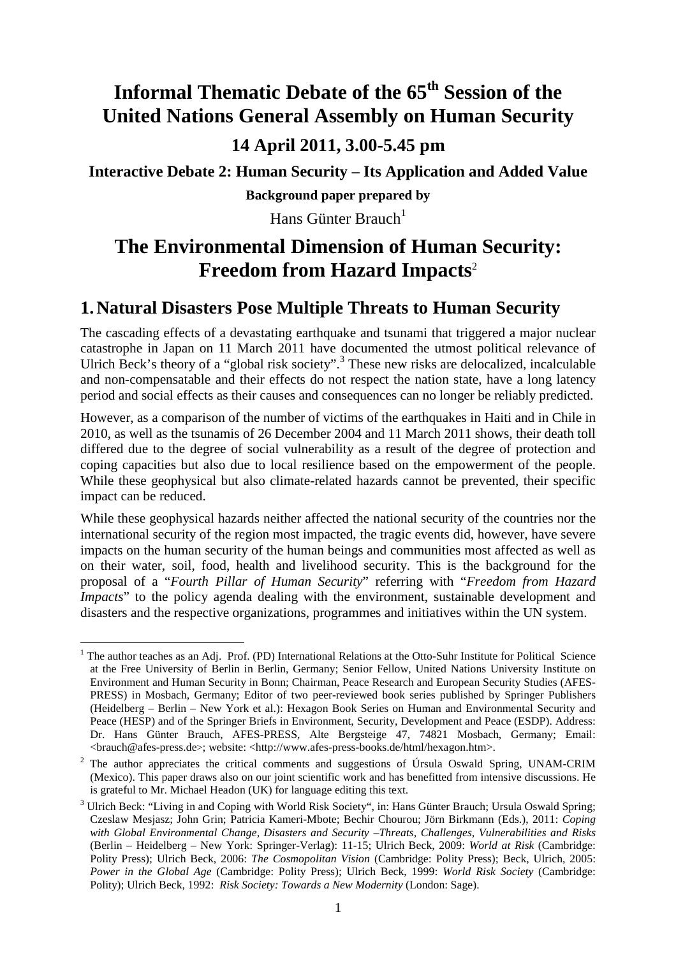## **Informal Thematic Debate of the 65th Session of the United Nations General Assembly on Human Security 14 April 2011, 3.00-5.45 pm**

**Interactive Debate 2: Human Security – Its Application and Added Value** 

**Background paper prepared by** 

Hans Günter Brauch<sup>1</sup>

### **The Environmental Dimension of Human Security: Freedom from Hazard Impacts**<sup>2</sup>

#### **1.Natural Disasters Pose Multiple Threats to Human Security**

The cascading effects of a devastating earthquake and tsunami that triggered a major nuclear catastrophe in Japan on 11 March 2011 have documented the utmost political relevance of Ulrich Beck's theory of a "global risk society".<sup>3</sup> These new risks are delocalized, incalculable and non-compensatable and their effects do not respect the nation state, have a long latency period and social effects as their causes and consequences can no longer be reliably predicted.

However, as a comparison of the number of victims of the earthquakes in Haiti and in Chile in 2010, as well as the tsunamis of 26 December 2004 and 11 March 2011 shows, their death toll differed due to the degree of social vulnerability as a result of the degree of protection and coping capacities but also due to local resilience based on the empowerment of the people. While these geophysical but also climate-related hazards cannot be prevented, their specific impact can be reduced.

While these geophysical hazards neither affected the national security of the countries nor the international security of the region most impacted, the tragic events did, however, have severe impacts on the human security of the human beings and communities most affected as well as on their water, soil, food, health and livelihood security. This is the background for the proposal of a "*Fourth Pillar of Human Security*" referring with "*Freedom from Hazard Impacts*" to the policy agenda dealing with the environment, sustainable development and disasters and the respective organizations, programmes and initiatives within the UN system.

<sup>&</sup>lt;sup>1</sup> The author teaches as an Adj. Prof. (PD) International Relations at the Otto-Suhr Institute for Political Science at the Free University of Berlin in Berlin, Germany; Senior Fellow, United Nations University Institute on Environment and Human Security in Bonn; Chairman, Peace Research and European Security Studies (AFES-PRESS) in Mosbach, Germany; Editor of two peer-reviewed book series published by Springer Publishers (Heidelberg – Berlin – New York et al.): Hexagon Book Series on Human and Environmental Security and Peace (HESP) and of the Springer Briefs in Environment, Security, Development and Peace (ESDP). Address: Dr. Hans Günter Brauch, AFES-PRESS, Alte Bergsteige 47, 74821 Mosbach, Germany; Email: <brauch@afes-press.de>; website: <http://www.afes-press-books.de/html/hexagon.htm>.

<sup>&</sup>lt;sup>2</sup> The author appreciates the critical comments and suggestions of Úrsula Oswald Spring, UNAM-CRIM (Mexico). This paper draws also on our joint scientific work and has benefitted from intensive discussions. He is grateful to Mr. Michael Headon (UK) for language editing this text.

<sup>&</sup>lt;sup>3</sup> Ulrich Beck: "Living in and Coping with World Risk Society", in: Hans Günter Brauch; Ursula Oswald Spring; Czeslaw Mesjasz; John Grin; Patricia Kameri-Mbote; Bechir Chourou; Jörn Birkmann (Eds.), 2011: *Coping with Global Environmental Change, Disasters and Security –Threats, Challenges, Vulnerabilities and Risks* (Berlin – Heidelberg – New York: Springer-Verlag): 11-15; Ulrich Beck, 2009: *World at Risk* (Cambridge: Polity Press); Ulrich Beck, 2006: *The Cosmopolitan Vision* (Cambridge: Polity Press); Beck, Ulrich, 2005: *Power in the Global Age* (Cambridge: Polity Press); Ulrich Beck, 1999: *World Risk Society* (Cambridge: Polity); Ulrich Beck, 1992: *Risk Society: Towards a New Modernity* (London: Sage).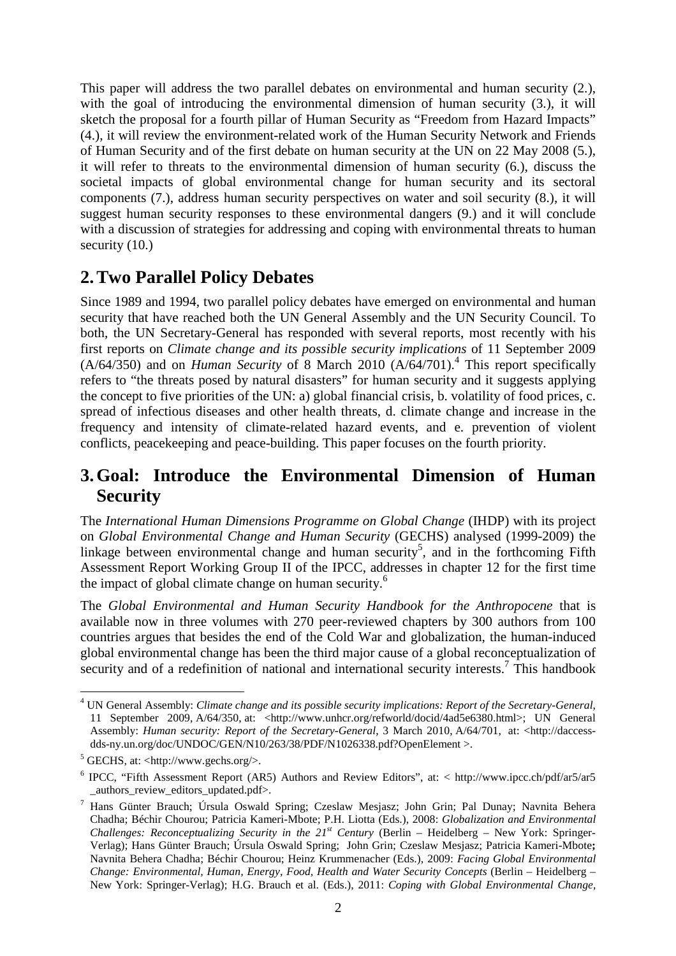This paper will address the two parallel debates on environmental and human security (2.), with the goal of introducing the environmental dimension of human security (3.), it will sketch the proposal for a fourth pillar of Human Security as "Freedom from Hazard Impacts" (4.), it will review the environment-related work of the Human Security Network and Friends of Human Security and of the first debate on human security at the UN on 22 May 2008 (5.), it will refer to threats to the environmental dimension of human security (6.), discuss the societal impacts of global environmental change for human security and its sectoral components (7.), address human security perspectives on water and soil security (8.), it will suggest human security responses to these environmental dangers (9.) and it will conclude with a discussion of strategies for addressing and coping with environmental threats to human security (10.)

### **2.Two Parallel Policy Debates**

Since 1989 and 1994, two parallel policy debates have emerged on environmental and human security that have reached both the UN General Assembly and the UN Security Council. To both, the UN Secretary-General has responded with several reports, most recently with his first reports on *Climate change and its possible security implications* of 11 September 2009 (A/64/350) and on *Human Security* of 8 March 2010 (A/64/701).<sup>4</sup> This report specifically refers to "the threats posed by natural disasters" for human security and it suggests applying the concept to five priorities of the UN: a) global financial crisis, b. volatility of food prices, c. spread of infectious diseases and other health threats, d. climate change and increase in the frequency and intensity of climate-related hazard events, and e. prevention of violent conflicts, peacekeeping and peace-building. This paper focuses on the fourth priority.

#### **3.Goal: Introduce the Environmental Dimension of Human Security**

The *International Human Dimensions Programme on Global Change* (IHDP) with its project on *Global Environmental Change and Human Security* (GECHS) analysed (1999-2009) the linkage between environmental change and human security<sup>5</sup>, and in the forthcoming Fifth Assessment Report Working Group II of the IPCC, addresses in chapter 12 for the first time the impact of global climate change on human security.<sup>6</sup>

The *Global Environmental and Human Security Handbook for the Anthropocene* that is available now in three volumes with 270 peer-reviewed chapters by 300 authors from 100 countries argues that besides the end of the Cold War and globalization, the human-induced global environmental change has been the third major cause of a global reconceptualization of security and of a redefinition of national and international security interests.<sup>7</sup> This handbook

 $\overline{a}$ 4 UN General Assembly: *Climate change and its possible security implications: Report of the Secretary-General*, 11 September 2009, A/64/350, at: <http://www.unhcr.org/refworld/docid/4ad5e6380.html>; UN General Assembly: *Human security: Report of the Secretary-General*, 3 March 2010, A/64/701, at: <http://daccessdds-ny.un.org/doc/UNDOC/GEN/N10/263/38/PDF/N1026338.pdf?OpenElement >.

 $<sup>5</sup>$  GECHS, at: <http://www.gechs.org/>.</sup>

<sup>&</sup>lt;sup>6</sup> IPCC, "Fifth Assessment Report (AR5) Authors and Review Editors", at: < http://www.ipcc.ch/pdf/ar5/ar5 \_authors\_review\_editors\_updated.pdf>.

<sup>7</sup> Hans Günter Brauch; Úrsula Oswald Spring; Czeslaw Mesjasz; John Grin; Pal Dunay; Navnita Behera Chadha; Béchir Chourou; Patricia Kameri-Mbote; P.H. Liotta (Eds.), 2008: *Globalization and Environmental Challenges: Reconceptualizing Security in the 21st Century* (Berlin – Heidelberg – New York: Springer-Verlag); Hans Günter Brauch; Úrsula Oswald Spring; John Grin; Czeslaw Mesjasz; Patricia Kameri-Mbote**;**  Navnita Behera Chadha; Béchir Chourou; Heinz Krummenacher (Eds.), 2009: *Facing Global Environmental Change: Environmental, Human, Energy, Food, Health and Water Security Concepts* (Berlin – Heidelberg – New York: Springer-Verlag); H.G. Brauch et al. (Eds.), 2011: *Coping with Global Environmental Change,*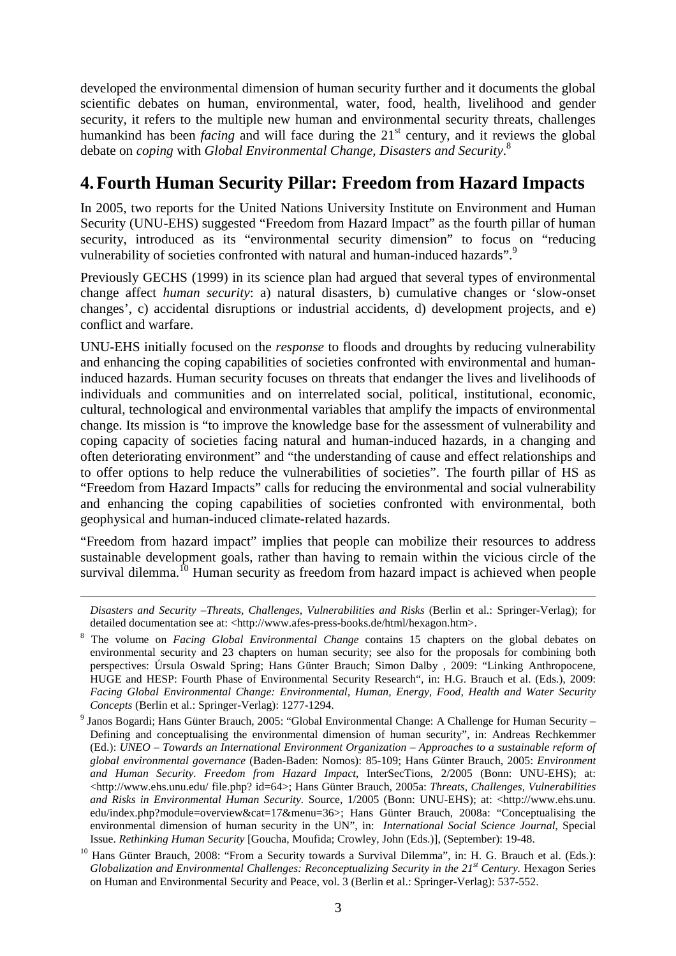developed the environmental dimension of human security further and it documents the global scientific debates on human, environmental, water, food, health, livelihood and gender security, it refers to the multiple new human and environmental security threats, challenges humankind has been *facing* and will face during the 21<sup>st</sup> century, and it reviews the global debate on *coping* with *Global Environmental Change, Disasters and Security*. 8

### **4.Fourth Human Security Pillar: Freedom from Hazard Impacts**

In 2005, two reports for the United Nations University Institute on Environment and Human Security (UNU-EHS) suggested "Freedom from Hazard Impact" as the fourth pillar of human security, introduced as its "environmental security dimension" to focus on "reducing vulnerability of societies confronted with natural and human-induced hazards".<sup>9</sup>

Previously GECHS (1999) in its science plan had argued that several types of environmental change affect *human security*: a) natural disasters, b) cumulative changes or 'slow-onset changes', c) accidental disruptions or industrial accidents, d) development projects, and e) conflict and warfare.

UNU-EHS initially focused on the *response* to floods and droughts by reducing vulnerability and enhancing the coping capabilities of societies confronted with environmental and humaninduced hazards. Human security focuses on threats that endanger the lives and livelihoods of individuals and communities and on interrelated social, political, institutional, economic, cultural, technological and environmental variables that amplify the impacts of environmental change. Its mission is "to improve the knowledge base for the assessment of vulnerability and coping capacity of societies facing natural and human-induced hazards, in a changing and often deteriorating environment" and "the understanding of cause and effect relationships and to offer options to help reduce the vulnerabilities of societies". The fourth pillar of HS as "Freedom from Hazard Impacts" calls for reducing the environmental and social vulnerability and enhancing the coping capabilities of societies confronted with environmental, both geophysical and human-induced climate-related hazards.

"Freedom from hazard impact" implies that people can mobilize their resources to address sustainable development goals, rather than having to remain within the vicious circle of the survival dilemma.<sup>10</sup> Human security as freedom from hazard impact is achieved when people

<u>.</u>

*Disasters and Security –Threats, Challenges, Vulnerabilities and Risks* (Berlin et al.: Springer-Verlag); for detailed documentation see at: <http://www.afes-press-books.de/html/hexagon.htm>.

<sup>8</sup> The volume on *Facing Global Environmental Change* contains 15 chapters on the global debates on environmental security and 23 chapters on human security; see also for the proposals for combining both perspectives: Úrsula Oswald Spring; Hans Günter Brauch; Simon Dalby , 2009: "Linking Anthropocene, HUGE and HESP: Fourth Phase of Environmental Security Research", in: H.G. Brauch et al. (Eds.), 2009: *Facing Global Environmental Change: Environmental, Human, Energy, Food, Health and Water Security Concepts* (Berlin et al.: Springer-Verlag): 1277-1294.

<sup>&</sup>lt;sup>9</sup> Janos Bogardi; Hans Günter Brauch, 2005: "Global Environmental Change: A Challenge for Human Security – Defining and conceptualising the environmental dimension of human security", in: Andreas Rechkemmer (Ed.): *UNEO – Towards an International Environment Organization – Approaches to a sustainable reform of global environmental governance* (Baden-Baden: Nomos): 85-109; Hans Günter Brauch, 2005: *Environment and Human Security. Freedom from Hazard Impact*, InterSecTions, 2/2005 (Bonn: UNU-EHS); at: <http://www.ehs.unu.edu/ file.php? id=64>; Hans Günter Brauch, 2005a: *Threats, Challenges, Vulnerabilities and Risks in Environmental Human Security.* Source, 1/2005 (Bonn: UNU-EHS); at: <http://www.ehs.unu. edu/index.php?module=overview&cat=17&menu=36>; Hans Günter Brauch, 2008a: "Conceptualising the environmental dimension of human security in the UN", in: *International Social Science Journal*, Special Issue. *Rethinking Human Security* [Goucha, Moufida; Crowley, John (Eds.)], (September): 19-48.

<sup>&</sup>lt;sup>10</sup> Hans Günter Brauch, 2008: "From a Security towards a Survival Dilemma", in: H. G. Brauch et al. (Eds.): *Globalization and Environmental Challenges: Reconceptualizing Security in the 21st Century.* Hexagon Series on Human and Environmental Security and Peace, vol. 3 (Berlin et al.: Springer-Verlag): 537-552.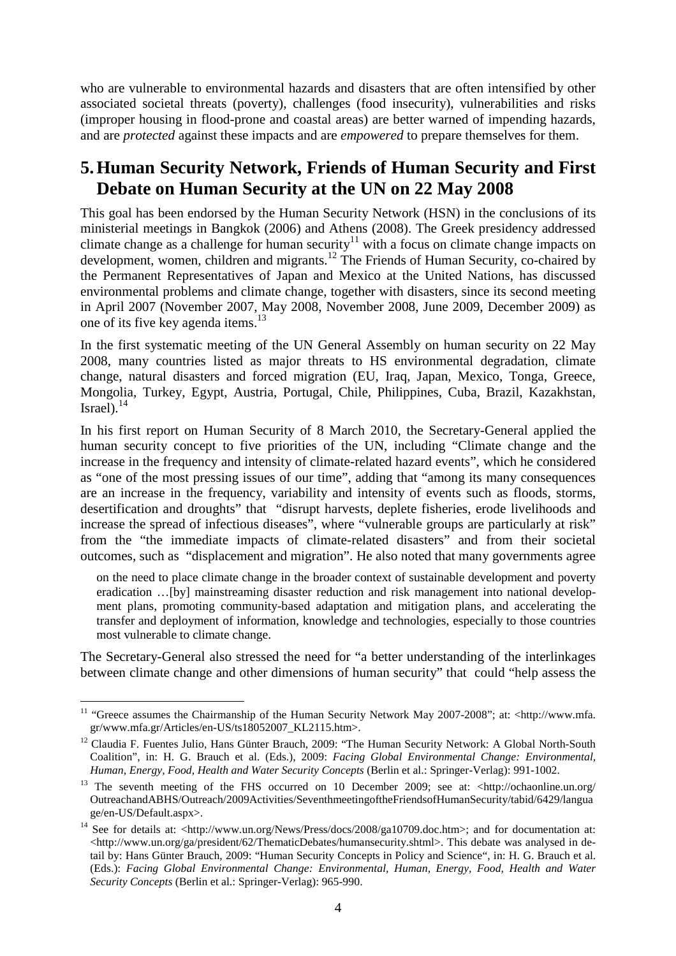who are vulnerable to environmental hazards and disasters that are often intensified by other associated societal threats (poverty), challenges (food insecurity), vulnerabilities and risks (improper housing in flood-prone and coastal areas) are better warned of impending hazards, and are *protected* against these impacts and are *empowered* to prepare themselves for them.

#### **5.Human Security Network, Friends of Human Security and First Debate on Human Security at the UN on 22 May 2008**

This goal has been endorsed by the Human Security Network (HSN) in the conclusions of its ministerial meetings in Bangkok (2006) and Athens (2008). The Greek presidency addressed climate change as a challenge for human security<sup>11</sup> with a focus on climate change impacts on development, women, children and migrants.<sup>12</sup> The Friends of Human Security, co-chaired by the Permanent Representatives of Japan and Mexico at the United Nations, has discussed environmental problems and climate change, together with disasters, since its second meeting in April 2007 (November 2007, May 2008, November 2008, June 2009, December 2009) as one of its five key agenda items.<sup>13</sup>

In the first systematic meeting of the UN General Assembly on human security on 22 May 2008, many countries listed as major threats to HS environmental degradation, climate change, natural disasters and forced migration (EU, Iraq, Japan, Mexico, Tonga, Greece, Mongolia, Turkey, Egypt, Austria, Portugal, Chile, Philippines, Cuba, Brazil, Kazakhstan, Israel $\overline{)}$ .<sup>14</sup>

In his first report on Human Security of 8 March 2010, the Secretary-General applied the human security concept to five priorities of the UN, including "Climate change and the increase in the frequency and intensity of climate-related hazard events", which he considered as "one of the most pressing issues of our time", adding that "among its many consequences are an increase in the frequency, variability and intensity of events such as floods, storms, desertification and droughts" that "disrupt harvests, deplete fisheries, erode livelihoods and increase the spread of infectious diseases", where "vulnerable groups are particularly at risk" from the "the immediate impacts of climate-related disasters" and from their societal outcomes, such as "displacement and migration". He also noted that many governments agree

on the need to place climate change in the broader context of sustainable development and poverty eradication …[by] mainstreaming disaster reduction and risk management into national development plans, promoting community-based adaptation and mitigation plans, and accelerating the transfer and deployment of information, knowledge and technologies, especially to those countries most vulnerable to climate change.

The Secretary-General also stressed the need for "a better understanding of the interlinkages between climate change and other dimensions of human security" that could "help assess the

 $\overline{a}$ <sup>11</sup> "Greece assumes the Chairmanship of the Human Security Network May 2007-2008"; at: <http://www.mfa. gr/www.mfa.gr/Articles/en-US/ts18052007\_KL2115.htm>.

<sup>&</sup>lt;sup>12</sup> Claudia F. Fuentes Julio, Hans Günter Brauch, 2009: "The Human Security Network: A Global North-South Coalition", in: H. G. Brauch et al. (Eds.), 2009: *Facing Global Environmental Change: Environmental, Human, Energy, Food, Health and Water Security Concepts* (Berlin et al.: Springer-Verlag): 991-1002.

<sup>&</sup>lt;sup>13</sup> The seventh meeting of the FHS occurred on 10 December 2009; see at: <http://ochaonline.un.org/ OutreachandABHS/Outreach/2009Activities/SeventhmeetingoftheFriendsofHumanSecurity/tabid/6429/langua ge/en-US/Default.aspx>.

<sup>&</sup>lt;sup>14</sup> See for details at: <http://www.un.org/News/Press/docs/2008/ga10709.doc.htm>; and for documentation at: <http://www.un.org/ga/president/62/ThematicDebates/humansecurity.shtml>. This debate was analysed in detail by: Hans Günter Brauch, 2009: "Human Security Concepts in Policy and Science", in: H. G. Brauch et al. (Eds.): *Facing Global Environmental Change: Environmental, Human, Energy, Food, Health and Water Security Concepts* (Berlin et al.: Springer-Verlag): 965-990.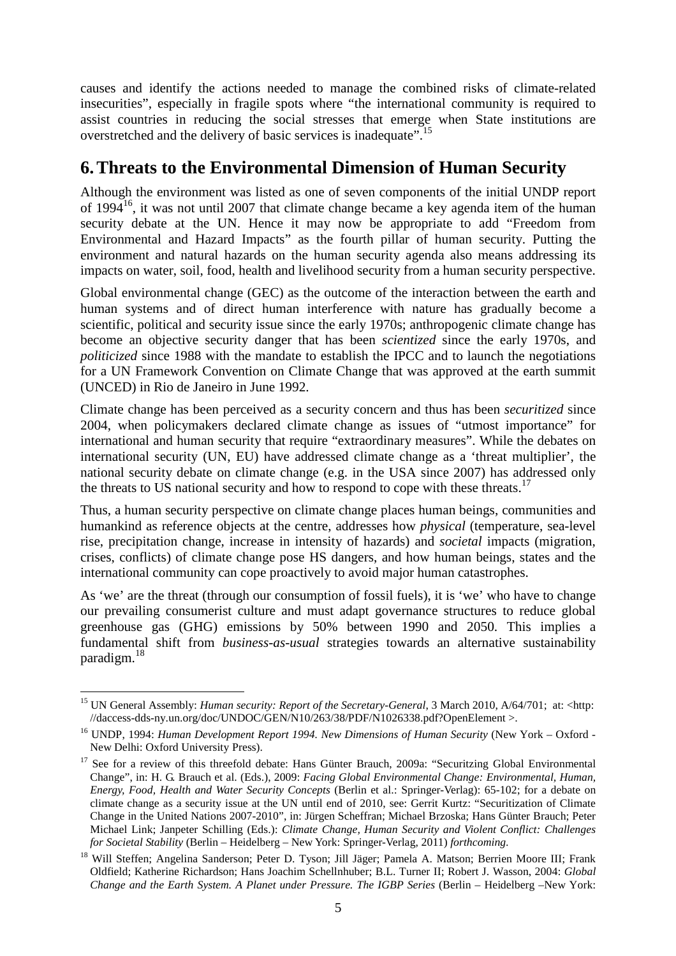causes and identify the actions needed to manage the combined risks of climate-related insecurities", especially in fragile spots where "the international community is required to assist countries in reducing the social stresses that emerge when State institutions are overstretched and the delivery of basic services is inadequate".<sup>15</sup>

#### **6.Threats to the Environmental Dimension of Human Security**

Although the environment was listed as one of seven components of the initial UNDP report of 1994<sup>16</sup>, it was not until 2007 that climate change became a key agenda item of the human security debate at the UN. Hence it may now be appropriate to add "Freedom from Environmental and Hazard Impacts" as the fourth pillar of human security. Putting the environment and natural hazards on the human security agenda also means addressing its impacts on water, soil, food, health and livelihood security from a human security perspective.

Global environmental change (GEC) as the outcome of the interaction between the earth and human systems and of direct human interference with nature has gradually become a scientific, political and security issue since the early 1970s; anthropogenic climate change has become an objective security danger that has been *scientized* since the early 1970s, and *politicized* since 1988 with the mandate to establish the IPCC and to launch the negotiations for a UN Framework Convention on Climate Change that was approved at the earth summit (UNCED) in Rio de Janeiro in June 1992.

Climate change has been perceived as a security concern and thus has been *securitized* since 2004, when policymakers declared climate change as issues of "utmost importance" for international and human security that require "extraordinary measures". While the debates on international security (UN, EU) have addressed climate change as a 'threat multiplier', the national security debate on climate change (e.g. in the USA since 2007) has addressed only the threats to US national security and how to respond to cope with these threats.<sup>17</sup>

Thus, a human security perspective on climate change places human beings, communities and humankind as reference objects at the centre, addresses how *physical* (temperature, sea-level rise, precipitation change, increase in intensity of hazards) and *societal* impacts (migration, crises, conflicts) of climate change pose HS dangers, and how human beings, states and the international community can cope proactively to avoid major human catastrophes.

As 'we' are the threat (through our consumption of fossil fuels), it is 'we' who have to change our prevailing consumerist culture and must adapt governance structures to reduce global greenhouse gas (GHG) emissions by 50% between 1990 and 2050. This implies a fundamental shift from *business-as-usual* strategies towards an alternative sustainability paradigm.<sup>18</sup>

 $\overline{a}$ 

<sup>&</sup>lt;sup>15</sup> UN General Assembly: *Human security: Report of the Secretary-General*, 3 March 2010, A/64/701; at: <http: //daccess-dds-ny.un.org/doc/UNDOC/GEN/N10/263/38/PDF/N1026338.pdf?OpenElement >.

<sup>16</sup> UNDP, 1994: *Human Development Report 1994. New Dimensions of Human Security* (New York – Oxford - New Delhi: Oxford University Press).

<sup>&</sup>lt;sup>17</sup> See for a review of this threefold debate: Hans Günter Brauch, 2009a: "Securitzing Global Environmental Change", in: H. G. Brauch et al. (Eds.), 2009: *Facing Global Environmental Change: Environmental, Human, Energy, Food, Health and Water Security Concepts* (Berlin et al.: Springer-Verlag): 65-102; for a debate on climate change as a security issue at the UN until end of 2010, see: Gerrit Kurtz: "Securitization of Climate Change in the United Nations 2007-2010", in: Jürgen Scheffran; Michael Brzoska; Hans Günter Brauch; Peter Michael Link; Janpeter Schilling (Eds.): *Climate Change, Human Security and Violent Conflict: Challenges for Societal Stability* (Berlin – Heidelberg – New York: Springer-Verlag, 2011) *forthcoming*.

<sup>&</sup>lt;sup>18</sup> Will Steffen; Angelina Sanderson; Peter D. Tyson; Jill Jäger; Pamela A. Matson; Berrien Moore III; Frank Oldfield; Katherine Richardson; Hans Joachim Schellnhuber; B.L. Turner II; Robert J. Wasson, 2004: *Global Change and the Earth System. A Planet under Pressure. The IGBP Series (Berlin – Heidelberg –New York:*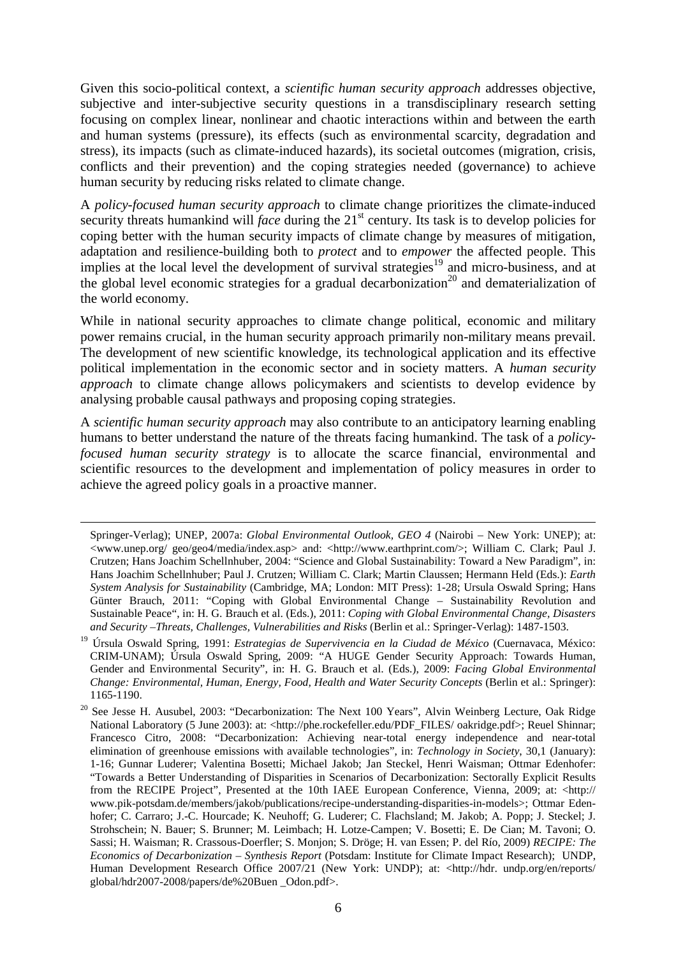Given this socio-political context, a *scientific human security approach* addresses objective, subjective and inter-subjective security questions in a transdisciplinary research setting focusing on complex linear, nonlinear and chaotic interactions within and between the earth and human systems (pressure), its effects (such as environmental scarcity, degradation and stress), its impacts (such as climate-induced hazards), its societal outcomes (migration, crisis, conflicts and their prevention) and the coping strategies needed (governance) to achieve human security by reducing risks related to climate change.

A *policy-focused human security approach* to climate change prioritizes the climate-induced security threats humankind will *face* during the 21<sup>st</sup> century. Its task is to develop policies for coping better with the human security impacts of climate change by measures of mitigation, adaptation and resilience-building both to *protect* and to *empower* the affected people. This implies at the local level the development of survival strategies<sup>19</sup> and micro-business, and at the global level economic strategies for a gradual decarbonization<sup>20</sup> and dematerialization of the world economy.

While in national security approaches to climate change political, economic and military power remains crucial, in the human security approach primarily non-military means prevail. The development of new scientific knowledge, its technological application and its effective political implementation in the economic sector and in society matters. A *human security approach* to climate change allows policymakers and scientists to develop evidence by analysing probable causal pathways and proposing coping strategies.

A *scientific human security approach* may also contribute to an anticipatory learning enabling humans to better understand the nature of the threats facing humankind. The task of a *policyfocused human security strategy* is to allocate the scarce financial, environmental and scientific resources to the development and implementation of policy measures in order to achieve the agreed policy goals in a proactive manner.

<u>.</u>

Springer-Verlag); UNEP, 2007a: *Global Environmental Outlook, GEO 4* (Nairobi – New York: UNEP); at:  $\langle$ www.unep.org/ geo/geo4/media/index.asp> and:  $\langle$ http://www.earthprint.com/>; William C. Clark; Paul J. Crutzen; Hans Joachim Schellnhuber, 2004: "Science and Global Sustainability: Toward a New Paradigm", in: Hans Joachim Schellnhuber; Paul J. Crutzen; William C. Clark; Martin Claussen; Hermann Held (Eds.): *Earth System Analysis for Sustainability* (Cambridge, MA; London: MIT Press): 1-28; Ursula Oswald Spring; Hans Günter Brauch, 2011: "Coping with Global Environmental Change – Sustainability Revolution and Sustainable Peace", in: H. G. Brauch et al. (Eds.), 2011: *Coping with Global Environmental Change, Disasters and Security –Threats, Challenges, Vulnerabilities and Risks* (Berlin et al.: Springer-Verlag): 1487-1503.

<sup>19</sup> Úrsula Oswald Spring, 1991: *Estrategias de Supervivencia en la Ciudad de México* (Cuernavaca, México: CRIM-UNAM); Úrsula Oswald Spring, 2009: "A HUGE Gender Security Approach: Towards Human, Gender and Environmental Security", in: H. G. Brauch et al. (Eds.), 2009: *Facing Global Environmental Change: Environmental, Human, Energy, Food, Health and Water Security Concepts* (Berlin et al.: Springer): 1165-1190.

<sup>&</sup>lt;sup>20</sup> See Jesse H. Ausubel, 2003: "Decarbonization: The Next 100 Years", Alvin Weinberg Lecture, Oak Ridge National Laboratory (5 June 2003): at: <http://phe.rockefeller.edu/PDF\_FILES/ oakridge.pdf>; Reuel Shinnar; Francesco Citro, 2008: "Decarbonization: Achieving near-total energy independence and near-total elimination of greenhouse emissions with available technologies", in: *Technology in Society*, 30,1 (January): 1-16; Gunnar Luderer; Valentina Bosetti; Michael Jakob; Jan Steckel, Henri Waisman; Ottmar Edenhofer: "Towards a Better Understanding of Disparities in Scenarios of Decarbonization: Sectorally Explicit Results from the RECIPE Project", Presented at the 10th IAEE European Conference, Vienna, 2009; at: <http:// www.pik-potsdam.de/members/jakob/publications/recipe-understanding-disparities-in-models>; Ottmar Edenhofer; C. Carraro; J.-C. Hourcade; K. Neuhoff; G. Luderer; C. Flachsland; M. Jakob; A. Popp; J. Steckel; J. Strohschein; N. Bauer; S. Brunner; M. Leimbach; H. Lotze-Campen; V. Bosetti; E. De Cian; M. Tavoni; O. Sassi; H. Waisman; R. Crassous-Doerfler; S. Monjon; S. Dröge; H. van Essen; P. del Río, 2009) *RECIPE: The Economics of Decarbonization – Synthesis Report* (Potsdam: Institute for Climate Impact Research); UNDP, Human Development Research Office 2007/21 (New York: UNDP); at: <http://hdr. undp.org/en/reports/ global/hdr2007-2008/papers/de%20Buen \_Odon.pdf>.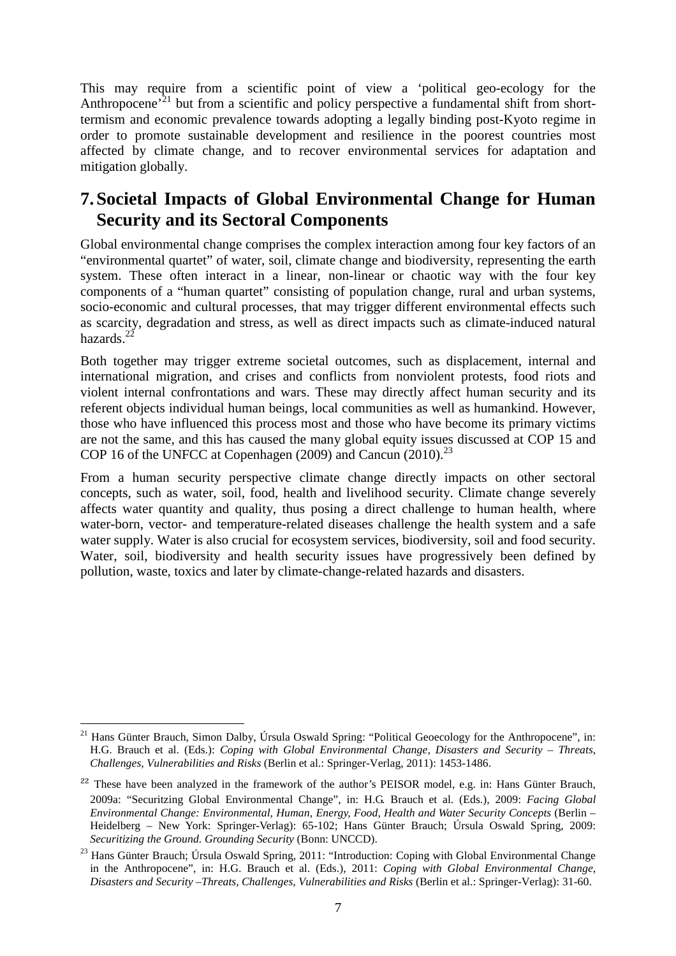This may require from a scientific point of view a 'political geo-ecology for the Anthropocene<sup> $21$ </sup> but from a scientific and policy perspective a fundamental shift from shorttermism and economic prevalence towards adopting a legally binding post-Kyoto regime in order to promote sustainable development and resilience in the poorest countries most affected by climate change, and to recover environmental services for adaptation and mitigation globally.

#### **7.Societal Impacts of Global Environmental Change for Human Security and its Sectoral Components**

Global environmental change comprises the complex interaction among four key factors of an "environmental quartet" of water, soil, climate change and biodiversity, representing the earth system. These often interact in a linear, non-linear or chaotic way with the four key components of a "human quartet" consisting of population change, rural and urban systems, socio-economic and cultural processes, that may trigger different environmental effects such as scarcity, degradation and stress, as well as direct impacts such as climate-induced natural hazards. $^{22}$ 

Both together may trigger extreme societal outcomes, such as displacement, internal and international migration, and crises and conflicts from nonviolent protests, food riots and violent internal confrontations and wars. These may directly affect human security and its referent objects individual human beings, local communities as well as humankind. However, those who have influenced this process most and those who have become its primary victims are not the same, and this has caused the many global equity issues discussed at COP 15 and COP 16 of the UNFCC at Copenhagen  $(2009)$  and Cancun  $(2010)$ .<sup>23</sup>

From a human security perspective climate change directly impacts on other sectoral concepts, such as water, soil, food, health and livelihood security. Climate change severely affects water quantity and quality, thus posing a direct challenge to human health, where water-born, vector- and temperature-related diseases challenge the health system and a safe water supply. Water is also crucial for ecosystem services, biodiversity, soil and food security. Water, soil, biodiversity and health security issues have progressively been defined by pollution, waste, toxics and later by climate-change-related hazards and disasters.

 $\overline{a}$ <sup>21</sup> Hans Günter Brauch, Simon Dalby, Úrsula Oswald Spring: "Political Geoecology for the Anthropocene", in: H.G. Brauch et al. (Eds.): *Coping with Global Environmental Change, Disasters and Security – Threats, Challenges, Vulnerabilities and Risks* (Berlin et al.: Springer-Verlag, 2011): 1453-1486.

**<sup>22</sup>** These have been analyzed in the framework of the author's PEISOR model, e.g. in: Hans Günter Brauch, 2009a: "Securitzing Global Environmental Change", in: H.G. Brauch et al. (Eds.), 2009: *Facing Global Environmental Change: Environmental, Human, Energy, Food, Health and Water Security Concepts* (Berlin – Heidelberg – New York: Springer-Verlag): 65-102; Hans Günter Brauch; Úrsula Oswald Spring, 2009: *Securitizing the Ground. Grounding Security* (Bonn: UNCCD).

<sup>&</sup>lt;sup>23</sup> Hans Günter Brauch; Úrsula Oswald Spring, 2011: "Introduction: Coping with Global Environmental Change in the Anthropocene", in: H.G. Brauch et al. (Eds.), 2011: *Coping with Global Environmental Change, Disasters and Security –Threats, Challenges, Vulnerabilities and Risks* (Berlin et al.: Springer-Verlag): 31-60.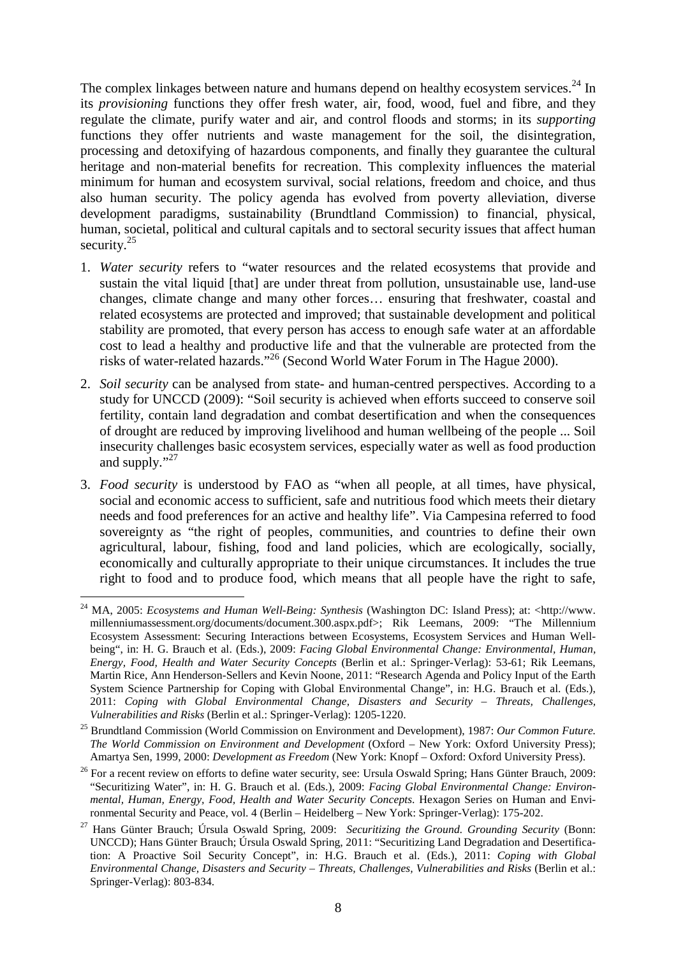The complex linkages between nature and humans depend on healthy ecosystem services.<sup>24</sup> In its *provisioning* functions they offer fresh water, air, food, wood, fuel and fibre, and they regulate the climate, purify water and air, and control floods and storms; in its *supporting* functions they offer nutrients and waste management for the soil, the disintegration, processing and detoxifying of hazardous components, and finally they guarantee the cultural heritage and non-material benefits for recreation. This complexity influences the material minimum for human and ecosystem survival, social relations, freedom and choice, and thus also human security. The policy agenda has evolved from poverty alleviation, diverse development paradigms, sustainability (Brundtland Commission) to financial, physical, human, societal, political and cultural capitals and to sectoral security issues that affect human security. $25$ 

- 1. *Water security* refers to "water resources and the related ecosystems that provide and sustain the vital liquid [that] are under threat from pollution, unsustainable use, land-use changes, climate change and many other forces… ensuring that freshwater, coastal and related ecosystems are protected and improved; that sustainable development and political stability are promoted, that every person has access to enough safe water at an affordable cost to lead a healthy and productive life and that the vulnerable are protected from the risks of water-related hazards."<sup>26</sup> (Second World Water Forum in The Hague 2000).
- 2. *Soil security* can be analysed from state- and human-centred perspectives. According to a study for UNCCD (2009): "Soil security is achieved when efforts succeed to conserve soil fertility, contain land degradation and combat desertification and when the consequences of drought are reduced by improving livelihood and human wellbeing of the people ... Soil insecurity challenges basic ecosystem services, especially water as well as food production and supply."<sup>27</sup>
- 3. *Food security* is understood by FAO as "when all people, at all times, have physical, social and economic access to sufficient, safe and nutritious food which meets their dietary needs and food preferences for an active and healthy life". Via Campesina referred to food sovereignty as "the right of peoples, communities, and countries to define their own agricultural, labour, fishing, food and land policies, which are ecologically, socially, economically and culturally appropriate to their unique circumstances. It includes the true right to food and to produce food, which means that all people have the right to safe,

 $\overline{a}$ <sup>24</sup> MA, 2005: *Ecosystems and Human Well-Being: Synthesis* (Washington DC: Island Press); at: <http://www. millenniumassessment.org/documents/document.300.aspx.pdf>; Rik Leemans, 2009: "The Millennium Ecosystem Assessment: Securing Interactions between Ecosystems, Ecosystem Services and Human Wellbeing", in: H. G. Brauch et al. (Eds.), 2009: *Facing Global Environmental Change: Environmental, Human, Energy, Food, Health and Water Security Concepts* (Berlin et al.: Springer-Verlag): 53-61; Rik Leemans, Martin Rice, Ann Henderson-Sellers and Kevin Noone, 2011: "Research Agenda and Policy Input of the Earth System Science Partnership for Coping with Global Environmental Change", in: H.G. Brauch et al. (Eds.), 2011: *Coping with Global Environmental Change, Disasters and Security – Threats, Challenges, Vulnerabilities and Risks* (Berlin et al.: Springer-Verlag): 1205-1220.

<sup>25</sup> Brundtland Commission (World Commission on Environment and Development), 1987: *Our Common Future. The World Commission on Environment and Development* (Oxford – New York: Oxford University Press); Amartya Sen, 1999, 2000: *Development as Freedom* (New York: Knopf – Oxford: Oxford University Press).

<sup>&</sup>lt;sup>26</sup> For a recent review on efforts to define water security, see: Ursula Oswald Spring; Hans Günter Brauch, 2009: "Securitizing Water", in: H. G. Brauch et al. (Eds.), 2009: *Facing Global Environmental Change: Environmental, Human, Energy, Food, Health and Water Security Concepts*. Hexagon Series on Human and Environmental Security and Peace, vol. 4 (Berlin – Heidelberg – New York: Springer-Verlag): 175-202.

<sup>27</sup> Hans Günter Brauch; Úrsula Oswald Spring, 2009: *Securitizing the Ground. Grounding Security* (Bonn: UNCCD); Hans Günter Brauch; Úrsula Oswald Spring, 2011: "Securitizing Land Degradation and Desertification: A Proactive Soil Security Concept", in: H.G. Brauch et al. (Eds.), 2011: *Coping with Global Environmental Change, Disasters and Security – Threats, Challenges, Vulnerabilities and Risks* (Berlin et al.: Springer-Verlag): 803-834.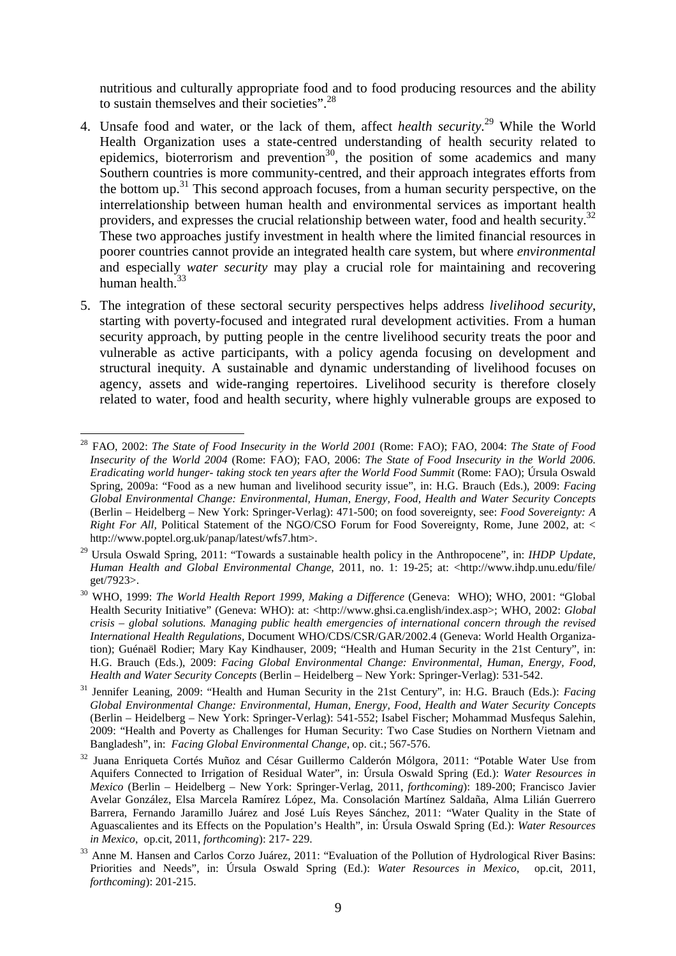nutritious and culturally appropriate food and to food producing resources and the ability to sustain themselves and their societies".<sup>28</sup>

- 4. Unsafe food and water, or the lack of them, affect *health security*. <sup>29</sup> While the World Health Organization uses a state-centred understanding of health security related to epidemics, bioterrorism and prevention<sup>30</sup>, the position of some academics and many Southern countries is more community-centred, and their approach integrates efforts from the bottom up.<sup>31</sup> This second approach focuses, from a human security perspective, on the interrelationship between human health and environmental services as important health providers, and expresses the crucial relationship between water, food and health security.<sup>32</sup> These two approaches justify investment in health where the limited financial resources in poorer countries cannot provide an integrated health care system, but where *environmental* and especially *water security* may play a crucial role for maintaining and recovering human health.<sup>33</sup>
- 5. The integration of these sectoral security perspectives helps address *livelihood security*, starting with poverty-focused and integrated rural development activities. From a human security approach, by putting people in the centre livelihood security treats the poor and vulnerable as active participants, with a policy agenda focusing on development and structural inequity. A sustainable and dynamic understanding of livelihood focuses on agency, assets and wide-ranging repertoires. Livelihood security is therefore closely related to water, food and health security, where highly vulnerable groups are exposed to

 $\overline{a}$ <sup>28</sup> FAO, 2002: *The State of Food Insecurity in the World 2001* (Rome: FAO); FAO, 2004: *The State of Food Insecurity of the World 2004* (Rome: FAO); FAO, 2006: *The State of Food Insecurity in the World 2006. Eradicating world hunger- taking stock ten years after the World Food Summit* (Rome: FAO); Úrsula Oswald Spring, 2009a: "Food as a new human and livelihood security issue", in: H.G. Brauch (Eds.), 2009: *Facing Global Environmental Change: Environmental, Human, Energy, Food, Health and Water Security Concepts* (Berlin – Heidelberg – New York: Springer-Verlag): 471-500; on food sovereignty, see: *Food Sovereignty: A Right For All,* Political Statement of the NGO/CSO Forum for Food Sovereignty, Rome, June 2002, at: < http://www.poptel.org.uk/panap/latest/wfs7.htm>.

<sup>29</sup> Ursula Oswald Spring, 2011: "Towards a sustainable health policy in the Anthropocene", in: *IHDP Update*, *Human Health and Global Environmental Change*, 2011, no. 1: 19-25; at: <http://www.ihdp.unu.edu/file/ get/7923>.

<sup>30</sup> WHO, 1999: *The World Health Report 1999, Making a Difference* (Geneva: WHO); WHO, 2001: "Global Health Security Initiative" (Geneva: WHO): at: <http://www.ghsi.ca.english/index.asp>; WHO, 2002: *Global crisis – global solutions. Managing public health emergencies of international concern through the revised International Health Regulations*, Document WHO/CDS/CSR/GAR/2002.4 (Geneva: World Health Organization); Guénaël Rodier; Mary Kay Kindhauser, 2009; "Health and Human Security in the 21st Century", in: H.G. Brauch (Eds.), 2009: *Facing Global Environmental Change: Environmental, Human, Energy, Food, Health and Water Security Concepts* (Berlin – Heidelberg – New York: Springer-Verlag): 531-542.

<sup>31</sup> Jennifer Leaning, 2009: "Health and Human Security in the 21st Century", in: H.G. Brauch (Eds.): *Facing Global Environmental Change: Environmental, Human, Energy, Food, Health and Water Security Concepts* (Berlin – Heidelberg – New York: Springer-Verlag): 541-552; Isabel Fischer; Mohammad Musfequs Salehin, 2009: "Health and Poverty as Challenges for Human Security: Two Case Studies on Northern Vietnam and Bangladesh", in: *Facing Global Environmental Change*, op. cit.; 567-576.

<sup>&</sup>lt;sup>32</sup> Juana Enriqueta Cortés Muñoz and César Guillermo Calderón Mólgora, 2011: "Potable Water Use from Aquifers Connected to Irrigation of Residual Water", in: Úrsula Oswald Spring (Ed.): *Water Resources in Mexico* (Berlin – Heidelberg – New York: Springer-Verlag, 2011, *forthcoming*): 189-200; Francisco Javier Avelar González, Elsa Marcela Ramírez López, Ma. Consolación Martínez Saldaña, Alma Lilián Guerrero Barrera, Fernando Jaramillo Juárez and José Luís Reyes Sánchez, 2011: "Water Quality in the State of Aguascalientes and its Effects on the Population's Health", in: Úrsula Oswald Spring (Ed.): *Water Resources in Mexico*, op.cit, 2011, *forthcoming*): 217- 229.

<sup>&</sup>lt;sup>33</sup> Anne M. Hansen and Carlos Corzo Juárez, 2011: "Evaluation of the Pollution of Hydrological River Basins: Priorities and Needs", in: Úrsula Oswald Spring (Ed.): *Water Resources in Mexico*, op.cit, 2011, *forthcoming*): 201-215.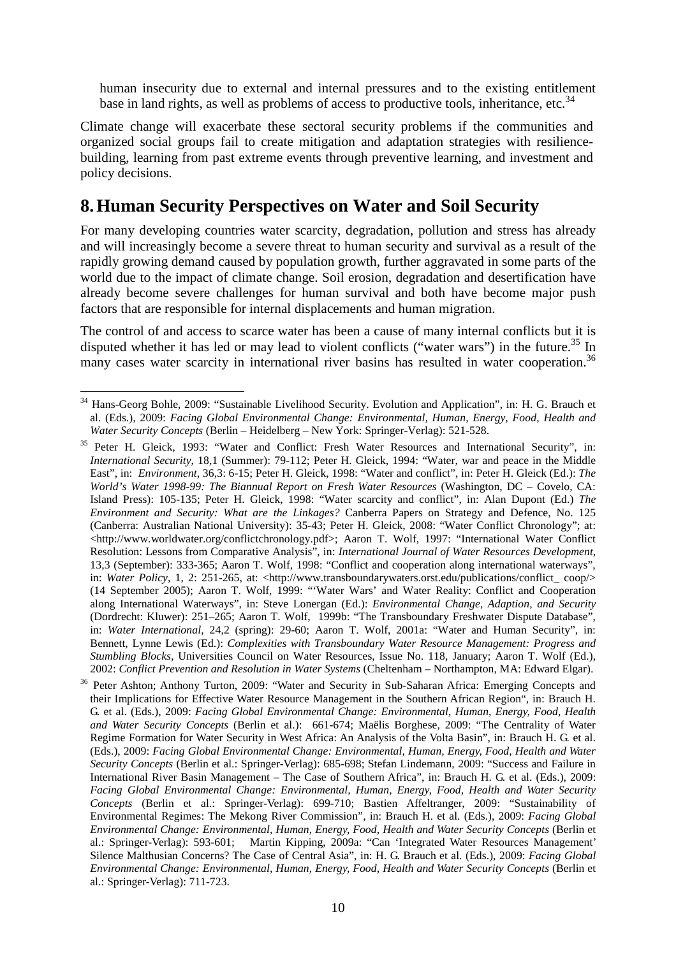human insecurity due to external and internal pressures and to the existing entitlement base in land rights, as well as problems of access to productive tools, inheritance, etc.<sup>34</sup>

Climate change will exacerbate these sectoral security problems if the communities and organized social groups fail to create mitigation and adaptation strategies with resiliencebuilding, learning from past extreme events through preventive learning, and investment and policy decisions.

#### **8.Human Security Perspectives on Water and Soil Security**

For many developing countries water scarcity, degradation, pollution and stress has already and will increasingly become a severe threat to human security and survival as a result of the rapidly growing demand caused by population growth, further aggravated in some parts of the world due to the impact of climate change. Soil erosion, degradation and desertification have already become severe challenges for human survival and both have become major push factors that are responsible for internal displacements and human migration.

The control of and access to scarce water has been a cause of many internal conflicts but it is disputed whether it has led or may lead to violent conflicts ("water wars") in the future.<sup>35</sup> In many cases water scarcity in international river basins has resulted in water cooperation.<sup>36</sup>

 $\overline{a}$ <sup>34</sup> Hans-Georg Bohle, 2009: "Sustainable Livelihood Security. Evolution and Application", in: H. G. Brauch et al. (Eds.), 2009: *Facing Global Environmental Change: Environmental, Human, Energy, Food, Health and Water Security Concepts* (Berlin – Heidelberg – New York: Springer-Verlag): 521-528.

<sup>&</sup>lt;sup>35</sup> Peter H. Gleick, 1993: "Water and Conflict: Fresh Water Resources and International Security", in: *International Security*, 18,1 (Summer): 79-112; Peter H. Gleick, 1994: "Water, war and peace in the Middle East", in: *Environment*, 36,3: 6-15; Peter H. Gleick, 1998: "Water and conflict", in: Peter H. Gleick (Ed.): *The World's Water 1998-99: The Biannual Report on Fresh Water Resources* (Washington, DC – Covelo, CA: Island Press): 105-135; Peter H. Gleick, 1998: "Water scarcity and conflict", in: Alan Dupont (Ed.) *The Environment and Security: What are the Linkages?* Canberra Papers on Strategy and Defence, No. 125 (Canberra: Australian National University): 35-43; Peter H. Gleick, 2008: "Water Conflict Chronology"; at: <http://www.worldwater.org/conflictchronology.pdf>; Aaron T. Wolf, 1997: "International Water Conflict Resolution: Lessons from Comparative Analysis", in: *International Journal of Water Resources Development*, 13,3 (September): 333-365; Aaron T. Wolf, 1998: "Conflict and cooperation along international waterways", in: *Water Policy*, 1, 2: 251-265, at: <http://www.transboundarywaters.orst.edu/publications/conflict\_ coop/> (14 September 2005); Aaron T. Wolf, 1999: "'Water Wars' and Water Reality: Conflict and Cooperation along International Waterways", in: Steve Lonergan (Ed.): *Environmental Change, Adaption, and Security* (Dordrecht: Kluwer): 251–265; Aaron T. Wolf, 1999b: "The Transboundary Freshwater Dispute Database", in: *Water International*, 24,2 (spring): 29-60; Aaron T. Wolf, 2001a: "Water and Human Security", in: Bennett, Lynne Lewis (Ed.): *Complexities with Transboundary Water Resource Management: Progress and Stumbling Blocks*, Universities Council on Water Resources, Issue No. 118, January; Aaron T. Wolf (Ed.), 2002: *Conflict Prevention and Resolution in Water Systems* (Cheltenham – Northampton, MA: Edward Elgar).

<sup>&</sup>lt;sup>36</sup> Peter Ashton; Anthony Turton, 2009: "Water and Security in Sub-Saharan Africa: Emerging Concepts and their Implications for Effective Water Resource Management in the Southern African Region", in: Brauch H. G. et al. (Eds.), 2009: *Facing Global Environmental Change: Environmental, Human, Energy, Food, Health and Water Security Concepts* (Berlin et al.): 661-674; Maëlis Borghese, 2009: "The Centrality of Water Regime Formation for Water Security in West Africa: An Analysis of the Volta Basin", in: Brauch H. G. et al. (Eds.), 2009: *Facing Global Environmental Change: Environmental, Human, Energy, Food, Health and Water Security Concepts* (Berlin et al.: Springer-Verlag): 685-698; Stefan Lindemann, 2009: "Success and Failure in International River Basin Management – The Case of Southern Africa", in: Brauch H. G. et al. (Eds.), 2009: *Facing Global Environmental Change: Environmental, Human, Energy, Food, Health and Water Security Concepts* (Berlin et al.: Springer-Verlag): 699-710; Bastien Affeltranger, 2009: "Sustainability of Environmental Regimes: The Mekong River Commission", in: Brauch H. et al. (Eds.), 2009: *Facing Global Environmental Change: Environmental, Human, Energy, Food, Health and Water Security Concepts* (Berlin et al.: Springer-Verlag): 593-601; Martin Kipping, 2009a: "Can 'Integrated Water Resources Management' Silence Malthusian Concerns? The Case of Central Asia", in: H. G. Brauch et al. (Eds.), 2009: *Facing Global Environmental Change: Environmental, Human, Energy, Food, Health and Water Security Concepts* (Berlin et al.: Springer-Verlag): 711-723.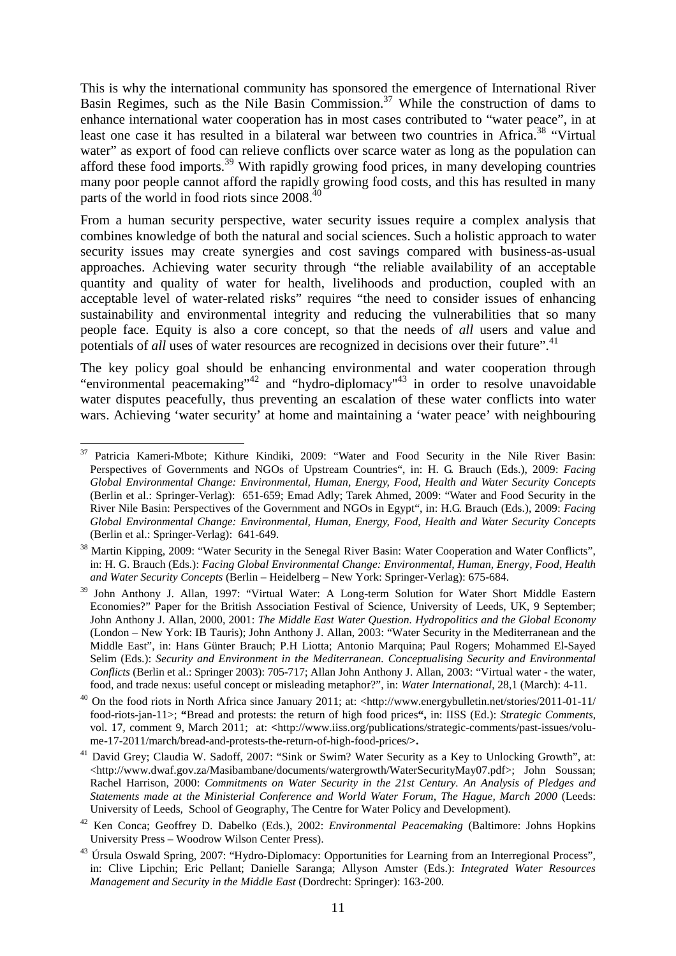This is why the international community has sponsored the emergence of International River Basin Regimes, such as the Nile Basin Commission.<sup>37</sup> While the construction of dams to enhance international water cooperation has in most cases contributed to "water peace", in at least one case it has resulted in a bilateral war between two countries in Africa.<sup>38</sup> "Virtual" water" as export of food can relieve conflicts over scarce water as long as the population can afford these food imports.<sup>39</sup> With rapidly growing food prices, in many developing countries many poor people cannot afford the rapidly growing food costs, and this has resulted in many parts of the world in food riots since 2008.<sup>4</sup>

From a human security perspective, water security issues require a complex analysis that combines knowledge of both the natural and social sciences. Such a holistic approach to water security issues may create synergies and cost savings compared with business-as-usual approaches. Achieving water security through "the reliable availability of an acceptable quantity and quality of water for health, livelihoods and production, coupled with an acceptable level of water-related risks" requires "the need to consider issues of enhancing sustainability and environmental integrity and reducing the vulnerabilities that so many people face. Equity is also a core concept, so that the needs of *all* users and value and potentials of *all* uses of water resources are recognized in decisions over their future".<sup>41</sup>

The key policy goal should be enhancing environmental and water cooperation through "environmental peacemaking"<sup>42</sup> and "hydro-diplomacy"<sup>43</sup> in order to resolve unavoidable water disputes peacefully, thus preventing an escalation of these water conflicts into water wars. Achieving 'water security' at home and maintaining a 'water peace' with neighbouring

 $\overline{a}$ <sup>37</sup> Patricia Kameri-Mbote; Kithure Kindiki, 2009: "Water and Food Security in the Nile River Basin: Perspectives of Governments and NGOs of Upstream Countries", in: H. G. Brauch (Eds.), 2009: *Facing Global Environmental Change: Environmental, Human, Energy, Food, Health and Water Security Concepts* (Berlin et al.: Springer-Verlag): 651-659; Emad Adly; Tarek Ahmed, 2009: "Water and Food Security in the River Nile Basin: Perspectives of the Government and NGOs in Egypt", in: H.G. Brauch (Eds.), 2009: *Facing Global Environmental Change: Environmental, Human, Energy, Food, Health and Water Security Concepts* (Berlin et al.: Springer-Verlag): 641-649.

<sup>&</sup>lt;sup>38</sup> Martin Kipping, 2009: "Water Security in the Senegal River Basin: Water Cooperation and Water Conflicts", in: H. G. Brauch (Eds.): *Facing Global Environmental Change: Environmental, Human, Energy, Food, Health and Water Security Concepts* (Berlin – Heidelberg – New York: Springer-Verlag): 675-684.

<sup>&</sup>lt;sup>39</sup> John Anthony J. Allan, 1997: "Virtual Water: A Long-term Solution for Water Short Middle Eastern Economies?" Paper for the British Association Festival of Science, University of Leeds, UK, 9 September; John Anthony J. Allan, 2000, 2001: *The Middle East Water Question. Hydropolitics and the Global Economy* (London – New York: IB Tauris); John Anthony J. Allan, 2003: "Water Security in the Mediterranean and the Middle East", in: Hans Günter Brauch; P.H Liotta; Antonio Marquina; Paul Rogers; Mohammed El-Sayed Selim (Eds.): *Security and Environment in the Mediterranean. Conceptualising Security and Environmental Conflicts* (Berlin et al.: Springer 2003): 705-717; Allan John Anthony J. Allan, 2003: "Virtual water - the water, food, and trade nexus: useful concept or misleading metaphor?", in: *Water International*, 28,1 (March): 4-11.

<sup>40</sup> On the food riots in North Africa since January 2011; at: <http://www.energybulletin.net/stories/2011-01-11/ food-riots-jan-11>; **"**Bread and protests: the return of high food prices**",** in: IISS (Ed.): *Strategic Comments*, vol. 17, comment 9, March 2011; at: **<**http://www.iiss.org/publications/strategic-comments/past-issues/volume-17-2011/march/bread-and-protests-the-return-of-high-food-prices/**>.**

<sup>&</sup>lt;sup>41</sup> David Grey; Claudia W. Sadoff, 2007: "Sink or Swim? Water Security as a Key to Unlocking Growth", at: <http://www.dwaf.gov.za/Masibambane/documents/watergrowth/WaterSecurityMay07.pdf>; John Soussan; Rachel Harrison, 2000: *Commitments on Water Security in the 21st Century. An Analysis of Pledges and Statements made at the Ministerial Conference and World Water Forum, The Hague, March 2000* (Leeds: University of Leeds, School of Geography, The Centre for Water Policy and Development).

<sup>42</sup> Ken Conca; Geoffrey D. Dabelko (Eds.), 2002: *Environmental Peacemaking* (Baltimore: Johns Hopkins University Press – Woodrow Wilson Center Press).

<sup>&</sup>lt;sup>43</sup> Úrsula Oswald Spring, 2007: "Hydro-Diplomacy: Opportunities for Learning from an Interregional Process", in: Clive Lipchin; Eric Pellant; Danielle Saranga; Allyson Amster (Eds.): *Integrated Water Resources Management and Security in the Middle East* (Dordrecht: Springer): 163-200.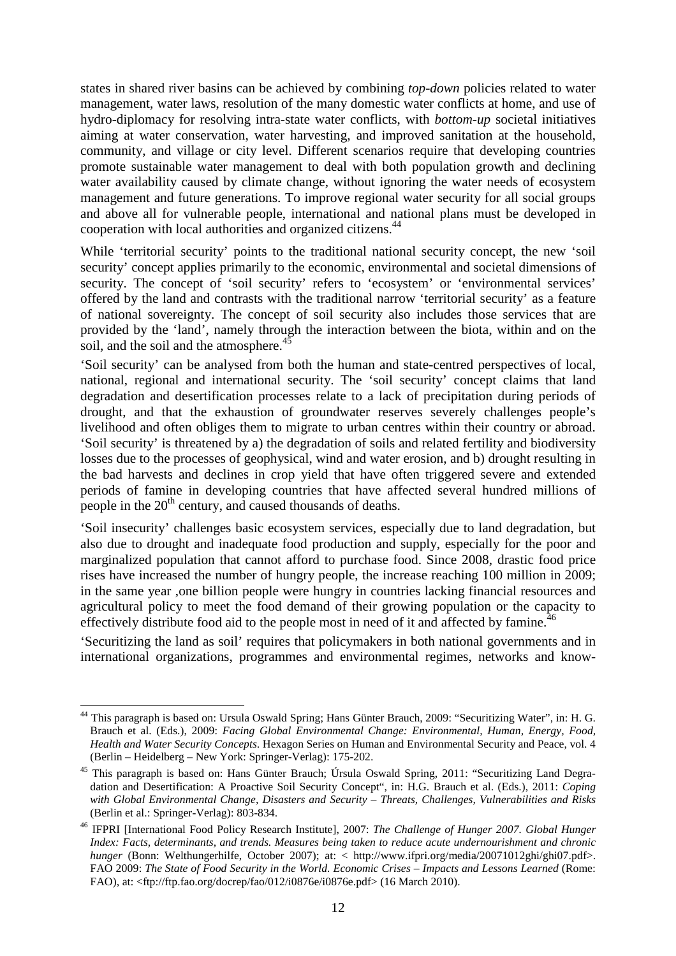states in shared river basins can be achieved by combining *top-down* policies related to water management, water laws, resolution of the many domestic water conflicts at home, and use of hydro-diplomacy for resolving intra-state water conflicts, with *bottom-up* societal initiatives aiming at water conservation, water harvesting, and improved sanitation at the household, community, and village or city level. Different scenarios require that developing countries promote sustainable water management to deal with both population growth and declining water availability caused by climate change, without ignoring the water needs of ecosystem management and future generations. To improve regional water security for all social groups and above all for vulnerable people, international and national plans must be developed in cooperation with local authorities and organized citizens.<sup>44</sup>

While 'territorial security' points to the traditional national security concept, the new 'soil security' concept applies primarily to the economic, environmental and societal dimensions of security. The concept of 'soil security' refers to 'ecosystem' or 'environmental services' offered by the land and contrasts with the traditional narrow 'territorial security' as a feature of national sovereignty. The concept of soil security also includes those services that are provided by the 'land', namely through the interaction between the biota, within and on the soil, and the soil and the atmosphere. $45$ 

'Soil security' can be analysed from both the human and state-centred perspectives of local, national, regional and international security. The 'soil security' concept claims that land degradation and desertification processes relate to a lack of precipitation during periods of drought, and that the exhaustion of groundwater reserves severely challenges people's livelihood and often obliges them to migrate to urban centres within their country or abroad. 'Soil security' is threatened by a) the degradation of soils and related fertility and biodiversity losses due to the processes of geophysical, wind and water erosion, and b) drought resulting in the bad harvests and declines in crop yield that have often triggered severe and extended periods of famine in developing countries that have affected several hundred millions of people in the  $20<sup>th</sup>$  century, and caused thousands of deaths.

'Soil insecurity' challenges basic ecosystem services, especially due to land degradation, but also due to drought and inadequate food production and supply, especially for the poor and marginalized population that cannot afford to purchase food. Since 2008, drastic food price rises have increased the number of hungry people, the increase reaching 100 million in 2009; in the same year ,one billion people were hungry in countries lacking financial resources and agricultural policy to meet the food demand of their growing population or the capacity to effectively distribute food aid to the people most in need of it and affected by famine.<sup>46</sup>

'Securitizing the land as soil' requires that policymakers in both national governments and in international organizations, programmes and environmental regimes, networks and know-

 $\overline{a}$ 

<sup>&</sup>lt;sup>44</sup> This paragraph is based on: Ursula Oswald Spring; Hans Günter Brauch, 2009: "Securitizing Water", in: H. G. Brauch et al. (Eds.), 2009: *Facing Global Environmental Change: Environmental, Human, Energy, Food, Health and Water Security Concepts*. Hexagon Series on Human and Environmental Security and Peace, vol. 4 (Berlin – Heidelberg – New York: Springer-Verlag): 175-202.

<sup>&</sup>lt;sup>45</sup> This paragraph is based on: Hans Günter Brauch; Úrsula Oswald Spring, 2011: "Securitizing Land Degradation and Desertification: A Proactive Soil Security Concept", in: H.G. Brauch et al. (Eds.), 2011: *Coping with Global Environmental Change, Disasters and Security – Threats, Challenges, Vulnerabilities and Risks* (Berlin et al.: Springer-Verlag): 803-834.

<sup>46</sup> IFPRI [International Food Policy Research Institute], 2007: *The Challenge of Hunger 2007. Global Hunger Index: Facts, determinants, and trends. Measures being taken to reduce acute undernourishment and chronic hunger* (Bonn: Welthungerhilfe, October 2007); at: < http://www.ifpri.org/media/20071012ghi/ghi07.pdf>. FAO 2009: *The State of Food Security in the World. Economic Crises – Impacts and Lessons Learned* (Rome: FAO), at: <ftp://ftp.fao.org/docrep/fao/012/i0876e/i0876e.pdf> (16 March 2010).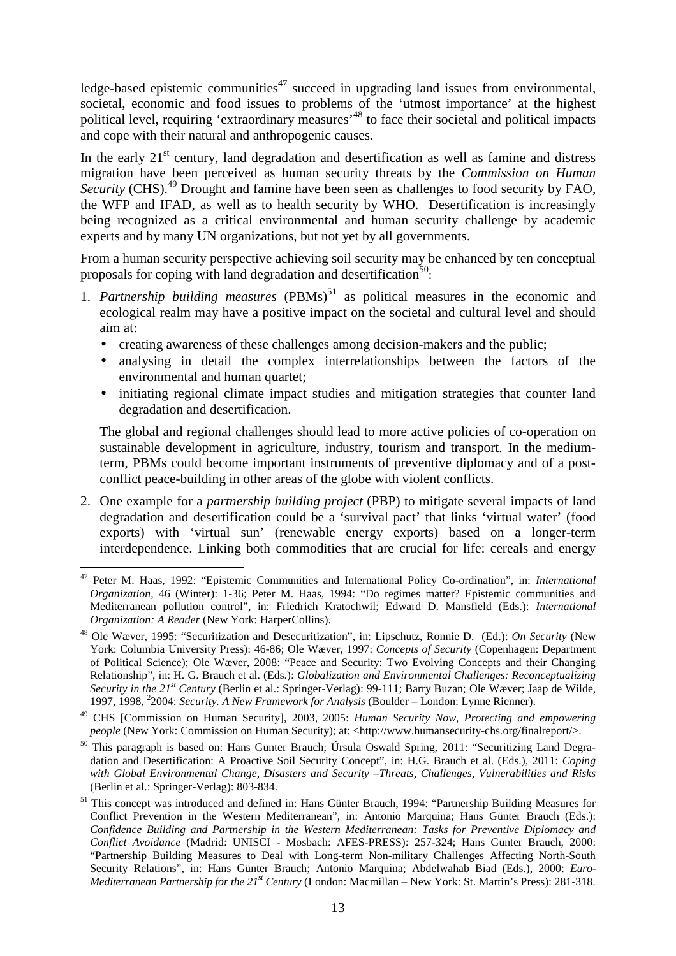ledge-based epistemic communities $47$  succeed in upgrading land issues from environmental, societal, economic and food issues to problems of the 'utmost importance' at the highest political level, requiring 'extraordinary measures'<sup>48</sup> to face their societal and political impacts and cope with their natural and anthropogenic causes.

In the early  $21<sup>st</sup>$  century, land degradation and desertification as well as famine and distress migration have been perceived as human security threats by the *Commission on Human Security* (CHS).<sup>49</sup> Drought and famine have been seen as challenges to food security by FAO, the WFP and IFAD, as well as to health security by WHO. Desertification is increasingly being recognized as a critical environmental and human security challenge by academic experts and by many UN organizations, but not yet by all governments.

From a human security perspective achieving soil security may be enhanced by ten conceptual proposals for coping with land degradation and desertification<sup>50</sup>:

- 1. Partnership building measures (PBMs)<sup>51</sup> as political measures in the economic and ecological realm may have a positive impact on the societal and cultural level and should aim at:
	- creating awareness of these challenges among decision-makers and the public;
	- analysing in detail the complex interrelationships between the factors of the environmental and human quartet;
	- initiating regional climate impact studies and mitigation strategies that counter land degradation and desertification.

The global and regional challenges should lead to more active policies of co-operation on sustainable development in agriculture, industry, tourism and transport. In the mediumterm, PBMs could become important instruments of preventive diplomacy and of a postconflict peace-building in other areas of the globe with violent conflicts.

2. One example for a *partnership building project* (PBP) to mitigate several impacts of land degradation and desertification could be a 'survival pact' that links 'virtual water' (food exports) with 'virtual sun' (renewable energy exports) based on a longer-term interdependence. Linking both commodities that are crucial for life: cereals and energy

 $\overline{a}$ <sup>47</sup> Peter M. Haas, 1992: "Epistemic Communities and International Policy Co-ordination", in: *International Organization,* 46 (Winter): 1-36; Peter M. Haas, 1994: "Do regimes matter? Epistemic communities and Mediterranean pollution control", in: Friedrich Kratochwil; Edward D. Mansfield (Eds.): *International Organization: A Reader* (New York: HarperCollins).

<sup>48</sup> Ole Wæver, 1995: "Securitization and Desecuritization", in: Lipschutz, Ronnie D. (Ed.): *On Security* (New York: Columbia University Press): 46-86; Ole Wæver, 1997: *Concepts of Security* (Copenhagen: Department of Political Science); Ole Wæver, 2008: "Peace and Security: Two Evolving Concepts and their Changing Relationship", in: H. G. Brauch et al. (Eds.): *Globalization and Environmental Challenges: Reconceptualizing Security in the 21st Century* (Berlin et al.: Springer-Verlag): 99-111; Barry Buzan; Ole Wæver; Jaap de Wilde, 1997, 1998, <sup>2</sup>2004: *Security. A New Framework for Analysis* (Boulder – London: Lynne Rienner).

<sup>49</sup> CHS [Commission on Human Security], 2003, 2005: *Human Security Now, Protecting and empowering people* (New York: Commission on Human Security); at: <http://www.humansecurity-chs.org/finalreport/>.

<sup>&</sup>lt;sup>50</sup> This paragraph is based on: Hans Günter Brauch; Úrsula Oswald Spring, 2011: "Securitizing Land Degradation and Desertification: A Proactive Soil Security Concept", in: H.G. Brauch et al. (Eds.), 2011: *Coping with Global Environmental Change, Disasters and Security –Threats, Challenges, Vulnerabilities and Risks* (Berlin et al.: Springer-Verlag): 803-834.

<sup>&</sup>lt;sup>51</sup> This concept was introduced and defined in: Hans Günter Brauch, 1994: "Partnership Building Measures for Conflict Prevention in the Western Mediterranean", in: Antonio Marquina; Hans Günter Brauch (Eds.): *Confidence Building and Partnership in the Western Mediterranean: Tasks for Preventive Diplomacy and Conflict Avoidance* (Madrid: UNISCI - Mosbach: AFES-PRESS): 257-324; Hans Günter Brauch, 2000: "Partnership Building Measures to Deal with Long-term Non-military Challenges Affecting North-South Security Relations", in: Hans Günter Brauch; Antonio Marquina; Abdelwahab Biad (Eds.), 2000: *Euro-Mediterranean Partnership for the 21st Century* (London: Macmillan – New York: St. Martin's Press): 281-318.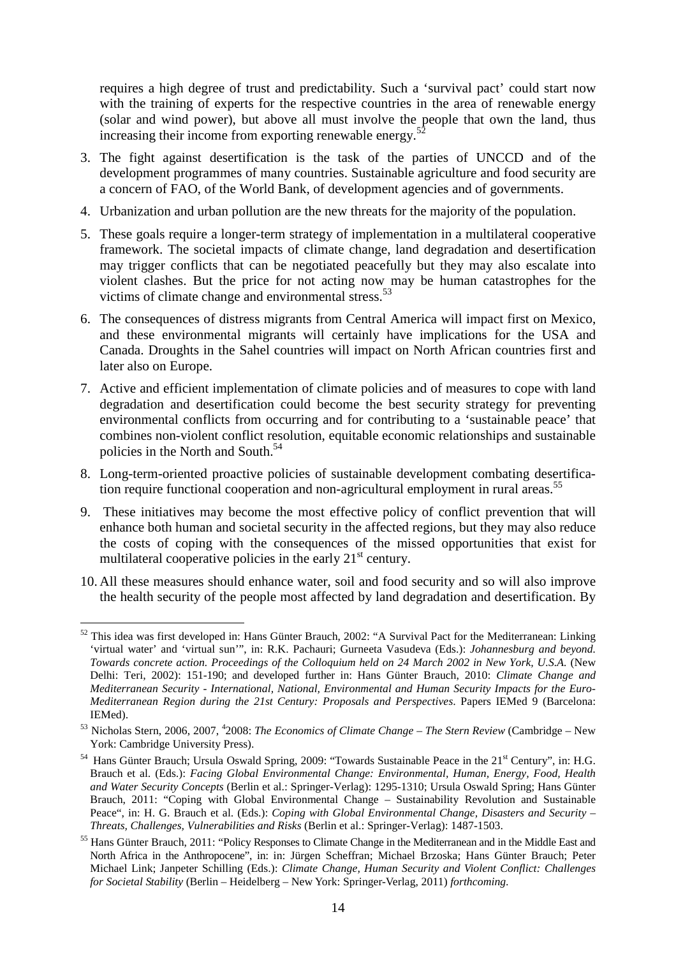requires a high degree of trust and predictability. Such a 'survival pact' could start now with the training of experts for the respective countries in the area of renewable energy (solar and wind power), but above all must involve the people that own the land, thus increasing their income from exporting renewable energy.<sup>5</sup>

- 3. The fight against desertification is the task of the parties of UNCCD and of the development programmes of many countries. Sustainable agriculture and food security are a concern of FAO, of the World Bank, of development agencies and of governments.
- 4. Urbanization and urban pollution are the new threats for the majority of the population.
- 5. These goals require a longer-term strategy of implementation in a multilateral cooperative framework. The societal impacts of climate change, land degradation and desertification may trigger conflicts that can be negotiated peacefully but they may also escalate into violent clashes. But the price for not acting now may be human catastrophes for the victims of climate change and environmental stress.<sup>53</sup>
- 6. The consequences of distress migrants from Central America will impact first on Mexico, and these environmental migrants will certainly have implications for the USA and Canada. Droughts in the Sahel countries will impact on North African countries first and later also on Europe.
- 7. Active and efficient implementation of climate policies and of measures to cope with land degradation and desertification could become the best security strategy for preventing environmental conflicts from occurring and for contributing to a 'sustainable peace' that combines non-violent conflict resolution, equitable economic relationships and sustainable policies in the North and South.<sup>54</sup>
- 8. Long-term-oriented proactive policies of sustainable development combating desertification require functional cooperation and non-agricultural employment in rural areas.<sup>55</sup>
- 9. These initiatives may become the most effective policy of conflict prevention that will enhance both human and societal security in the affected regions, but they may also reduce the costs of coping with the consequences of the missed opportunities that exist for multilateral cooperative policies in the early  $21<sup>st</sup>$  century.
- 10. All these measures should enhance water, soil and food security and so will also improve the health security of the people most affected by land degradation and desertification. By

 $\overline{a}$ <sup>52</sup> This idea was first developed in: Hans Günter Brauch, 2002: "A Survival Pact for the Mediterranean: Linking 'virtual water' and 'virtual sun'", in: R.K. Pachauri; Gurneeta Vasudeva (Eds.): *Johannesburg and beyond. Towards concrete action. Proceedings of the Colloquium held on 24 March 2002 in New York, U.S.A.* (New Delhi: Teri, 2002): 151-190; and developed further in: Hans Günter Brauch, 2010: *Climate Change and Mediterranean Security - International, National, Environmental and Human Security Impacts for the Euro-Mediterranean Region during the 21st Century: Proposals and Perspectives*. Papers IEMed 9 (Barcelona: IEMed).

<sup>53</sup> Nicholas Stern, 2006, 2007, <sup>4</sup> 2008: *The Economics of Climate Change* – *The Stern Review* (Cambridge – New York: Cambridge University Press).

<sup>&</sup>lt;sup>54</sup> Hans Günter Brauch; Ursula Oswald Spring, 2009: "Towards Sustainable Peace in the 21<sup>st</sup> Century", in: H.G. Brauch et al. (Eds.): *Facing Global Environmental Change: Environmental, Human, Energy, Food, Health and Water Security Concepts* (Berlin et al.: Springer-Verlag): 1295-1310; Ursula Oswald Spring; Hans Günter Brauch, 2011: "Coping with Global Environmental Change – Sustainability Revolution and Sustainable Peace", in: H. G. Brauch et al. (Eds.): *Coping with Global Environmental Change, Disasters and Security – Threats, Challenges, Vulnerabilities and Risks* (Berlin et al.: Springer-Verlag): 1487-1503.

<sup>&</sup>lt;sup>55</sup> Hans Günter Brauch, 2011: "Policy Responses to Climate Change in the Mediterranean and in the Middle East and North Africa in the Anthropocene", in: in: Jürgen Scheffran; Michael Brzoska; Hans Günter Brauch; Peter Michael Link; Janpeter Schilling (Eds.): *Climate Change, Human Security and Violent Conflict: Challenges for Societal Stability* (Berlin – Heidelberg – New York: Springer-Verlag, 2011) *forthcoming*.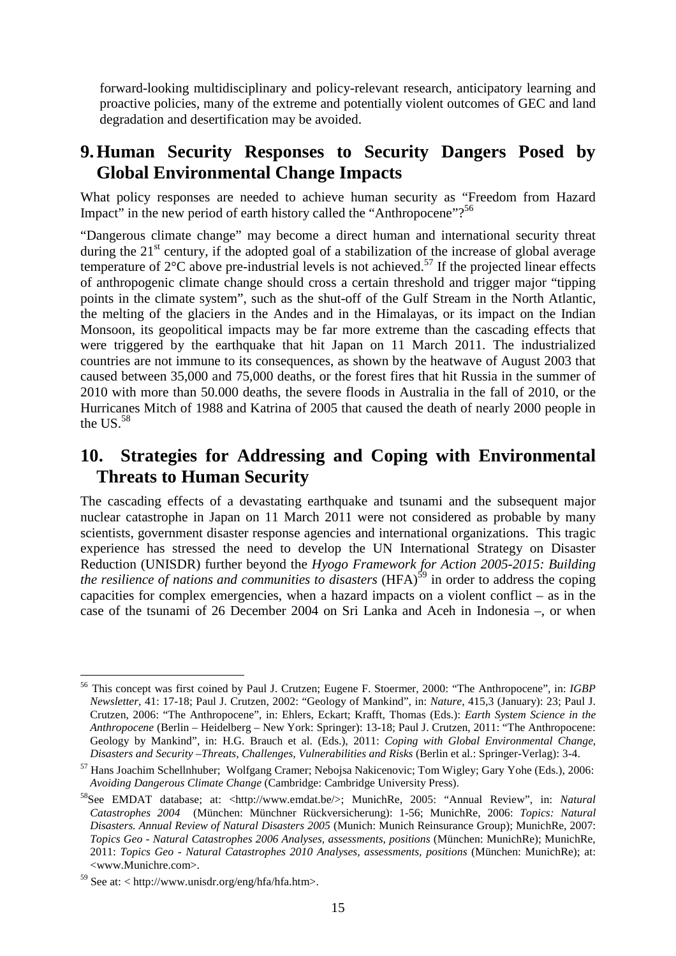forward-looking multidisciplinary and policy-relevant research, anticipatory learning and proactive policies, many of the extreme and potentially violent outcomes of GEC and land degradation and desertification may be avoided.

#### **9.Human Security Responses to Security Dangers Posed by Global Environmental Change Impacts**

What policy responses are needed to achieve human security as "Freedom from Hazard Impact" in the new period of earth history called the "Anthropocene"?<sup>56</sup>

"Dangerous climate change" may become a direct human and international security threat during the  $21<sup>st</sup>$  century, if the adopted goal of a stabilization of the increase of global average temperature of  $2^{\circ}$ C above pre-industrial levels is not achieved.<sup>57</sup> If the projected linear effects of anthropogenic climate change should cross a certain threshold and trigger major "tipping points in the climate system", such as the shut-off of the Gulf Stream in the North Atlantic, the melting of the glaciers in the Andes and in the Himalayas, or its impact on the Indian Monsoon, its geopolitical impacts may be far more extreme than the cascading effects that were triggered by the earthquake that hit Japan on 11 March 2011. The industrialized countries are not immune to its consequences, as shown by the heatwave of August 2003 that caused between 35,000 and 75,000 deaths, or the forest fires that hit Russia in the summer of 2010 with more than 50.000 deaths, the severe floods in Australia in the fall of 2010, or the Hurricanes Mitch of 1988 and Katrina of 2005 that caused the death of nearly 2000 people in the US. $58$ 

#### **10. Strategies for Addressing and Coping with Environmental Threats to Human Security**

The cascading effects of a devastating earthquake and tsunami and the subsequent major nuclear catastrophe in Japan on 11 March 2011 were not considered as probable by many scientists, government disaster response agencies and international organizations. This tragic experience has stressed the need to develop the UN International Strategy on Disaster Reduction (UNISDR) further beyond the *Hyogo Framework for Action 2005-2015: Building the resilience of nations and communities to disasters* (HFA)<sup>59</sup> in order to address the coping capacities for complex emergencies, when a hazard impacts on a violent conflict – as in the case of the tsunami of 26 December 2004 on Sri Lanka and Aceh in Indonesia –, or when

 $\overline{a}$ <sup>56</sup> This concept was first coined by Paul J. Crutzen; Eugene F. Stoermer, 2000: "The Anthropocene", in: *IGBP Newsletter*, 41: 17-18; Paul J. Crutzen, 2002: "Geology of Mankind", in: *Nature*, 415,3 (January): 23; Paul J. Crutzen, 2006: "The Anthropocene", in: Ehlers, Eckart; Krafft, Thomas (Eds.): *Earth System Science in the Anthropocene* (Berlin – Heidelberg – New York: Springer): 13-18; Paul J. Crutzen, 2011: "The Anthropocene: Geology by Mankind", in: H.G. Brauch et al. (Eds.), 2011: *Coping with Global Environmental Change, Disasters and Security –Threats, Challenges, Vulnerabilities and Risks* (Berlin et al.: Springer-Verlag): 3-4.

<sup>57</sup> Hans Joachim Schellnhuber; Wolfgang Cramer; Nebojsa Nakicenovic; Tom Wigley; Gary Yohe (Eds.), 2006: *Avoiding Dangerous Climate Change* (Cambridge: Cambridge University Press).

<sup>58</sup>See EMDAT database; at: <http://www.emdat.be/>; MunichRe, 2005: "Annual Review", in: *Natural Catastrophes 2004* (München: Münchner Rückversicherung): 1-56; MunichRe, 2006: *Topics: Natural Disasters. Annual Review of Natural Disasters 2005* (Munich: Munich Reinsurance Group); MunichRe, 2007: *Topics Geo - Natural Catastrophes 2006 Analyses, assessments, positions* (München: MunichRe); MunichRe, 2011: *Topics Geo - Natural Catastrophes 2010 Analyses, assessments, positions* (München: MunichRe); at: <www.Munichre.com>.

 $59$  See at: < http://www.unisdr.org/eng/hfa/hfa.htm>.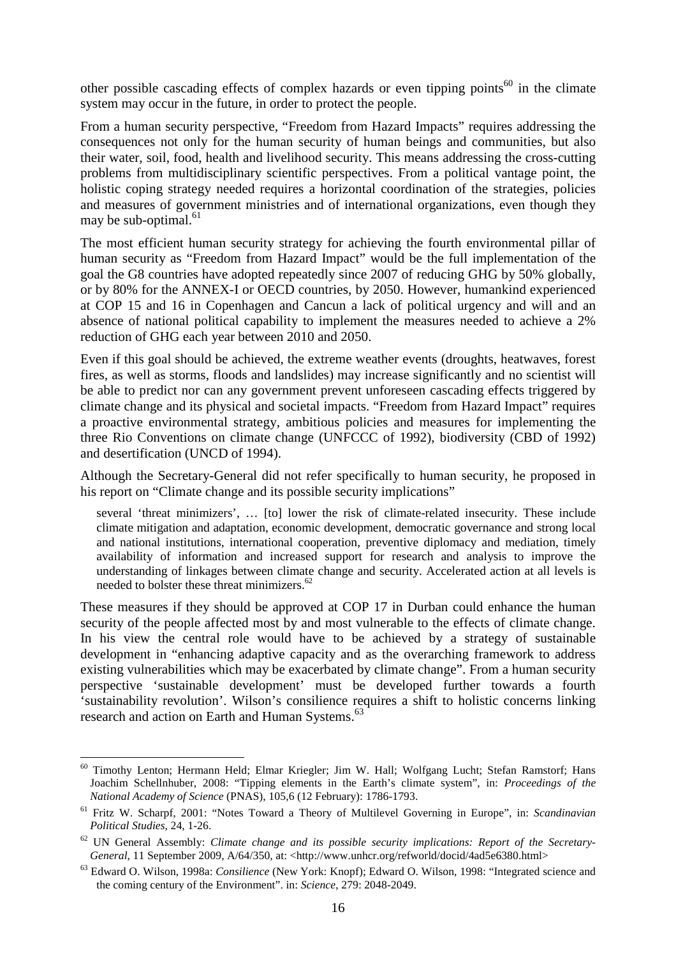other possible cascading effects of complex hazards or even tipping points<sup>60</sup> in the climate system may occur in the future, in order to protect the people.

From a human security perspective, "Freedom from Hazard Impacts" requires addressing the consequences not only for the human security of human beings and communities, but also their water, soil, food, health and livelihood security. This means addressing the cross-cutting problems from multidisciplinary scientific perspectives. From a political vantage point, the holistic coping strategy needed requires a horizontal coordination of the strategies, policies and measures of government ministries and of international organizations, even though they may be sub-optimal.<sup>61</sup>

The most efficient human security strategy for achieving the fourth environmental pillar of human security as "Freedom from Hazard Impact" would be the full implementation of the goal the G8 countries have adopted repeatedly since 2007 of reducing GHG by 50% globally, or by 80% for the ANNEX-I or OECD countries, by 2050. However, humankind experienced at COP 15 and 16 in Copenhagen and Cancun a lack of political urgency and will and an absence of national political capability to implement the measures needed to achieve a 2% reduction of GHG each year between 2010 and 2050.

Even if this goal should be achieved, the extreme weather events (droughts, heatwaves, forest fires, as well as storms, floods and landslides) may increase significantly and no scientist will be able to predict nor can any government prevent unforeseen cascading effects triggered by climate change and its physical and societal impacts. "Freedom from Hazard Impact" requires a proactive environmental strategy, ambitious policies and measures for implementing the three Rio Conventions on climate change (UNFCCC of 1992), biodiversity (CBD of 1992) and desertification (UNCD of 1994).

Although the Secretary-General did not refer specifically to human security, he proposed in his report on "Climate change and its possible security implications"

several 'threat minimizers', … [to] lower the risk of climate-related insecurity. These include climate mitigation and adaptation, economic development, democratic governance and strong local and national institutions, international cooperation, preventive diplomacy and mediation, timely availability of information and increased support for research and analysis to improve the understanding of linkages between climate change and security. Accelerated action at all levels is needed to bolster these threat minimizers.<sup>62</sup>

These measures if they should be approved at COP 17 in Durban could enhance the human security of the people affected most by and most vulnerable to the effects of climate change. In his view the central role would have to be achieved by a strategy of sustainable development in "enhancing adaptive capacity and as the overarching framework to address existing vulnerabilities which may be exacerbated by climate change". From a human security perspective 'sustainable development' must be developed further towards a fourth 'sustainability revolution'. Wilson's consilience requires a shift to holistic concerns linking research and action on Earth and Human Systems.<sup>63</sup>

 $\overline{a}$ <sup>60</sup> Timothy Lenton; Hermann Held; Elmar Kriegler; Jim W. Hall; Wolfgang Lucht; Stefan Ramstorf; Hans Joachim Schellnhuber, 2008: "Tipping elements in the Earth's climate system", in: *Proceedings of the National Academy of Science* (PNAS), 105,6 (12 February): 1786-1793.

<sup>61</sup> Fritz W. Scharpf, 2001: "Notes Toward a Theory of Multilevel Governing in Europe", in: *Scandinavian Political Studies*, 24, 1-26.

<sup>62</sup> UN General Assembly: *Climate change and its possible security implications: Report of the Secretary-*General, 11 September 2009, A/64/350, at: <http://www.unhcr.org/refworld/docid/4ad5e6380.html>

<sup>63</sup> Edward O. Wilson, 1998a: *Consilience* (New York: Knopf); Edward O. Wilson, 1998: "Integrated science and the coming century of the Environment". in: *Science*, 279: 2048-2049.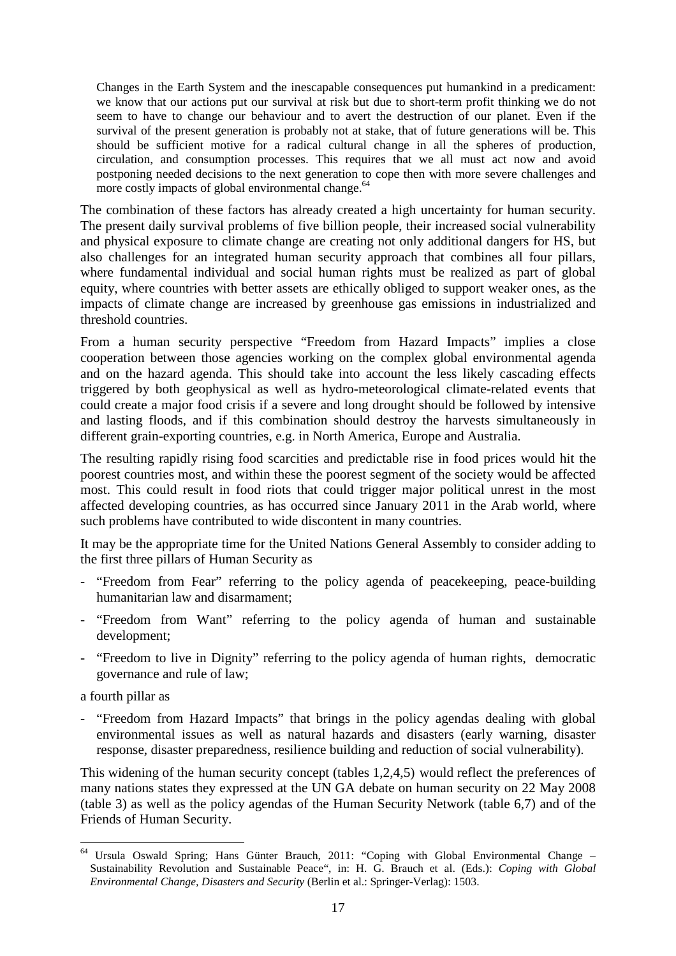Changes in the Earth System and the inescapable consequences put humankind in a predicament: we know that our actions put our survival at risk but due to short-term profit thinking we do not seem to have to change our behaviour and to avert the destruction of our planet. Even if the survival of the present generation is probably not at stake, that of future generations will be. This should be sufficient motive for a radical cultural change in all the spheres of production, circulation, and consumption processes. This requires that we all must act now and avoid postponing needed decisions to the next generation to cope then with more severe challenges and more costly impacts of global environmental change.<sup>64</sup>

The combination of these factors has already created a high uncertainty for human security. The present daily survival problems of five billion people, their increased social vulnerability and physical exposure to climate change are creating not only additional dangers for HS, but also challenges for an integrated human security approach that combines all four pillars, where fundamental individual and social human rights must be realized as part of global equity, where countries with better assets are ethically obliged to support weaker ones, as the impacts of climate change are increased by greenhouse gas emissions in industrialized and threshold countries.

From a human security perspective "Freedom from Hazard Impacts" implies a close cooperation between those agencies working on the complex global environmental agenda and on the hazard agenda. This should take into account the less likely cascading effects triggered by both geophysical as well as hydro-meteorological climate-related events that could create a major food crisis if a severe and long drought should be followed by intensive and lasting floods, and if this combination should destroy the harvests simultaneously in different grain-exporting countries, e.g. in North America, Europe and Australia.

The resulting rapidly rising food scarcities and predictable rise in food prices would hit the poorest countries most, and within these the poorest segment of the society would be affected most. This could result in food riots that could trigger major political unrest in the most affected developing countries, as has occurred since January 2011 in the Arab world, where such problems have contributed to wide discontent in many countries.

It may be the appropriate time for the United Nations General Assembly to consider adding to the first three pillars of Human Security as

- "Freedom from Fear" referring to the policy agenda of peacekeeping, peace-building humanitarian law and disarmament;
- "Freedom from Want" referring to the policy agenda of human and sustainable development;
- "Freedom to live in Dignity" referring to the policy agenda of human rights, democratic governance and rule of law;

a fourth pillar as

- "Freedom from Hazard Impacts" that brings in the policy agendas dealing with global environmental issues as well as natural hazards and disasters (early warning, disaster response, disaster preparedness, resilience building and reduction of social vulnerability).

This widening of the human security concept (tables 1,2,4,5) would reflect the preferences of many nations states they expressed at the UN GA debate on human security on 22 May 2008 (table 3) as well as the policy agendas of the Human Security Network (table 6,7) and of the Friends of Human Security.

 $\overline{a}$ <sup>64</sup> Ursula Oswald Spring; Hans Günter Brauch, 2011: "Coping with Global Environmental Change – Sustainability Revolution and Sustainable Peace", in: H. G. Brauch et al. (Eds.): *Coping with Global Environmental Change, Disasters and Security* (Berlin et al.: Springer-Verlag): 1503.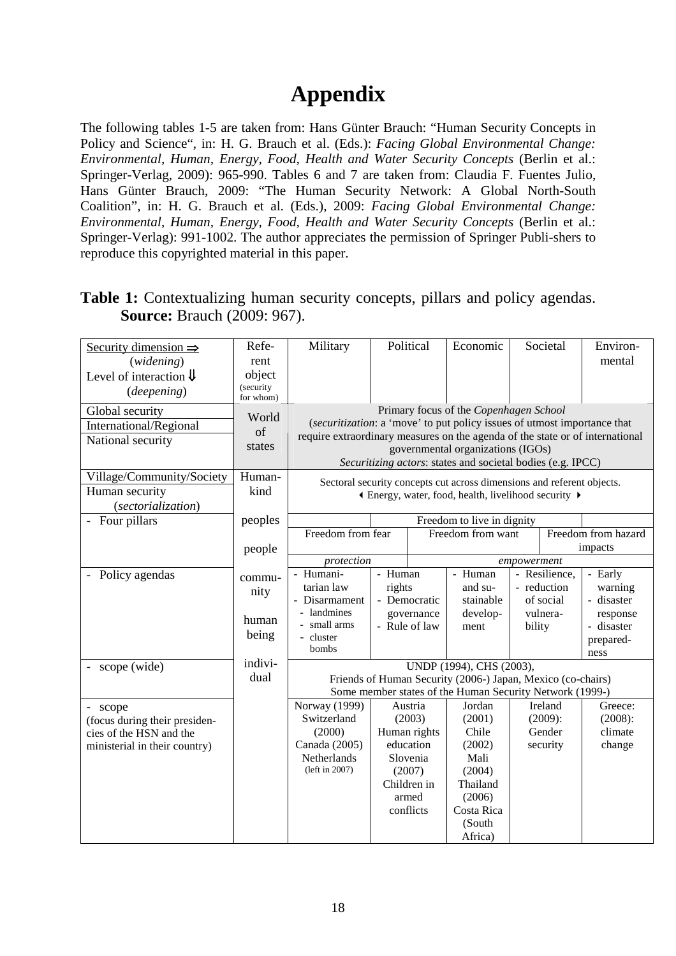# **Appendix**

The following tables 1-5 are taken from: Hans Günter Brauch: "Human Security Concepts in Policy and Science", in: H. G. Brauch et al. (Eds.): *Facing Global Environmental Change: Environmental, Human, Energy, Food, Health and Water Security Concepts* (Berlin et al.: Springer-Verlag, 2009): 965-990. Tables 6 and 7 are taken from: Claudia F. Fuentes Julio, Hans Günter Brauch, 2009: "The Human Security Network: A Global North-South Coalition", in: H. G. Brauch et al. (Eds.), 2009: *Facing Global Environmental Change: Environmental, Human, Energy, Food, Health and Water Security Concepts* (Berlin et al.: Springer-Verlag): 991-1002. The author appreciates the permission of Springer Publi-shers to reproduce this copyrighted material in this paper.

#### **Table 1:** Contextualizing human security concepts, pillars and policy agendas. **Source:** Brauch (2009: 967).

| Security dimension $\Rightarrow$         | Refe-     | Political<br>Military                                                                                                                                     |        |               | Economic                                                                                                                        |             | Societal   | Environ-            |
|------------------------------------------|-----------|-----------------------------------------------------------------------------------------------------------------------------------------------------------|--------|---------------|---------------------------------------------------------------------------------------------------------------------------------|-------------|------------|---------------------|
| (widening)                               | rent      |                                                                                                                                                           |        |               |                                                                                                                                 |             |            | mental              |
| Level of interaction $\downarrow$        | object    |                                                                                                                                                           |        |               |                                                                                                                                 |             |            |                     |
| (deepening)                              | (security |                                                                                                                                                           |        |               |                                                                                                                                 |             |            |                     |
|                                          | for whom) |                                                                                                                                                           |        |               |                                                                                                                                 |             |            |                     |
| Global security                          | World     |                                                                                                                                                           |        |               | Primary focus of the Copenhagen School                                                                                          |             |            |                     |
| International/Regional                   | of        | (securitization: a 'move' to put policy issues of utmost importance that<br>require extraordinary measures on the agenda of the state or of international |        |               |                                                                                                                                 |             |            |                     |
| National security                        | states    |                                                                                                                                                           |        |               | governmental organizations (IGOs)                                                                                               |             |            |                     |
|                                          |           |                                                                                                                                                           |        |               | Securitizing actors: states and societal bodies (e.g. IPCC)                                                                     |             |            |                     |
| Village/Community/Society                | Human-    |                                                                                                                                                           |        |               |                                                                                                                                 |             |            |                     |
| Human security                           | kind      |                                                                                                                                                           |        |               | Sectoral security concepts cut across dimensions and referent objects.<br>If Energy, water, food, health, livelihood security ▶ |             |            |                     |
| (sectorialization)                       |           |                                                                                                                                                           |        |               |                                                                                                                                 |             |            |                     |
| - Four pillars                           | peoples   |                                                                                                                                                           |        |               | Freedom to live in dignity                                                                                                      |             |            |                     |
|                                          |           | Freedom from fear                                                                                                                                         |        |               | Freedom from want                                                                                                               |             |            | Freedom from hazard |
|                                          | people    |                                                                                                                                                           |        |               |                                                                                                                                 |             |            | impacts             |
|                                          |           | protection<br>empowerment                                                                                                                                 |        |               |                                                                                                                                 |             |            |                     |
| Policy agendas                           | commu-    | - Humani-                                                                                                                                                 |        | - Human       | - Human<br>- Resilience,                                                                                                        |             |            | - Early             |
|                                          | nity      | tarian law                                                                                                                                                | rights |               | and su-                                                                                                                         | - reduction |            | warning             |
|                                          |           | - Disarmament                                                                                                                                             |        | - Democratic  | stainable                                                                                                                       |             | of social  | - disaster          |
|                                          | human     | - landmines                                                                                                                                               |        | governance    | develop-                                                                                                                        |             | vulnera-   | response            |
|                                          | being     | - small arms<br>- cluster                                                                                                                                 |        | - Rule of law | ment                                                                                                                            | bility      |            | - disaster          |
|                                          |           | bombs                                                                                                                                                     |        |               |                                                                                                                                 |             |            | prepared-           |
|                                          | indivi-   |                                                                                                                                                           |        |               |                                                                                                                                 |             |            | ness                |
| scope (wide)                             | dual      |                                                                                                                                                           |        |               | UNDP (1994), CHS (2003),<br>Friends of Human Security (2006-) Japan, Mexico (co-chairs)                                         |             |            |                     |
|                                          |           |                                                                                                                                                           |        |               | Some member states of the Human Security Network (1999-)                                                                        |             |            |                     |
|                                          |           | Norway (1999)                                                                                                                                             |        | Austria       | Jordan                                                                                                                          |             | Ireland    | Greece:             |
| - scope<br>(focus during their presiden- |           | Switzerland                                                                                                                                               |        | (2003)        | (2001)                                                                                                                          |             | $(2009)$ : | (2008):             |
| cies of the HSN and the                  |           | (2000)                                                                                                                                                    |        | Human rights  | Chile                                                                                                                           |             | Gender     | climate             |
| ministerial in their country)            |           | Canada (2005)                                                                                                                                             |        | education     | (2002)                                                                                                                          |             | security   | change              |
|                                          |           | Netherlands                                                                                                                                               |        | Slovenia      | Mali                                                                                                                            |             |            |                     |
|                                          |           | (left in 2007)                                                                                                                                            |        | (2007)        | (2004)                                                                                                                          |             |            |                     |
|                                          |           |                                                                                                                                                           |        | Children in   | Thailand                                                                                                                        |             |            |                     |
|                                          |           |                                                                                                                                                           |        | armed         | (2006)                                                                                                                          |             |            |                     |
|                                          |           |                                                                                                                                                           |        | conflicts     | Costa Rica                                                                                                                      |             |            |                     |
|                                          |           |                                                                                                                                                           |        |               | (South                                                                                                                          |             |            |                     |
|                                          |           |                                                                                                                                                           |        |               | Africa)                                                                                                                         |             |            |                     |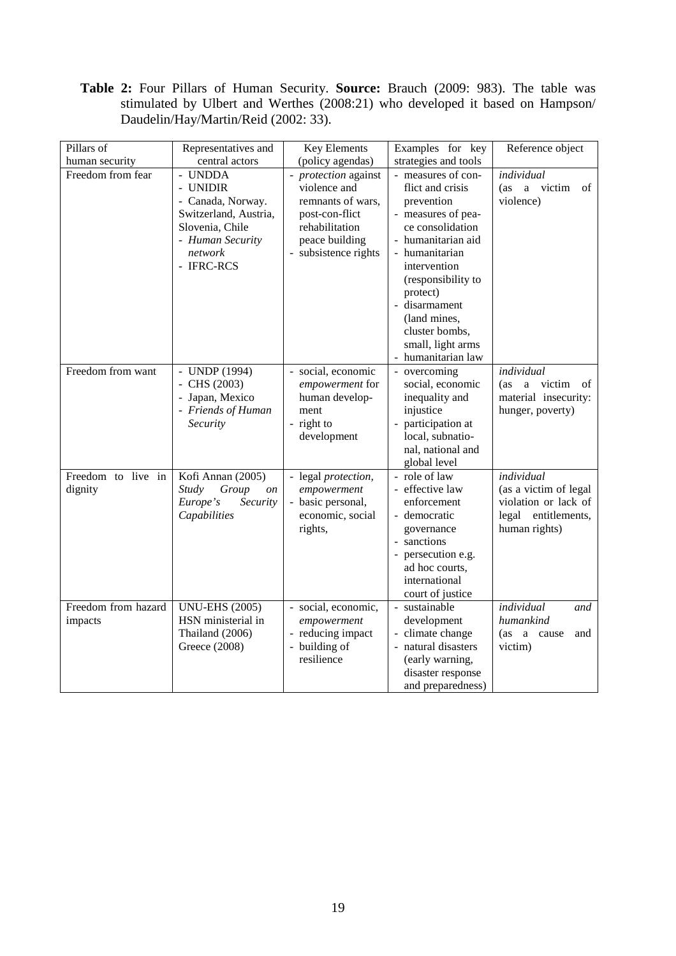**Table 2:** Four Pillars of Human Security. **Source:** Brauch (2009: 983). The table was stimulated by Ulbert and Werthes (2008:21) who developed it based on Hampson/ Daudelin/Hay/Martin/Reid (2002: 33).

| Pillars of                     | Representatives and                                                                                                               | Key Elements                                                                                                                            | Examples for key                                                                                                                                                                                                                                                                                          | Reference object                                                                                    |
|--------------------------------|-----------------------------------------------------------------------------------------------------------------------------------|-----------------------------------------------------------------------------------------------------------------------------------------|-----------------------------------------------------------------------------------------------------------------------------------------------------------------------------------------------------------------------------------------------------------------------------------------------------------|-----------------------------------------------------------------------------------------------------|
| human security                 | central actors                                                                                                                    | (policy agendas)                                                                                                                        | strategies and tools                                                                                                                                                                                                                                                                                      |                                                                                                     |
| Freedom from fear              | - UNDDA<br>- UNIDIR<br>- Canada, Norway.<br>Switzerland, Austria,<br>Slovenia, Chile<br>- Human Security<br>network<br>- IFRC-RCS | - protection against<br>violence and<br>remnants of wars,<br>post-con-flict<br>rehabilitation<br>peace building<br>- subsistence rights | - measures of con-<br>flict and crisis<br>prevention<br>- measures of pea-<br>ce consolidation<br>- humanitarian aid<br>- humanitarian<br>intervention<br>(responsibility to<br>protect)<br>disarmament<br>$\bar{\phantom{a}}$<br>(land mines,<br>cluster bombs,<br>small, light arms<br>humanitarian law | individual<br>(as a victim<br>of<br>violence)                                                       |
| Freedom from want              | - UNDP (1994)<br>- CHS $(2003)$<br>- Japan, Mexico<br>- Friends of Human<br>Security                                              | - social, economic<br>empowerment for<br>human develop-<br>ment<br>- right to<br>development                                            | - overcoming<br>social, economic<br>inequality and<br>injustice<br>participation at<br>local, subnatio-<br>nal, national and<br>global level                                                                                                                                                              | individual<br>a victim<br>(as<br>of<br>material insecurity:<br>hunger, poverty)                     |
| Freedom to live in<br>dignity  | Kofi Annan (2005)<br>Study<br>Group<br><i>on</i><br>Europe's<br>Security<br>Capabilities                                          | - legal protection,<br>empowerment<br>- basic personal,<br>economic, social<br>rights,                                                  | - role of law<br>- effective law<br>enforcement<br>- democratic<br>governance<br>- sanctions<br>- persecution e.g.<br>ad hoc courts,<br>international<br>court of justice                                                                                                                                 | individual<br>(as a victim of legal<br>violation or lack of<br>legal entitlements,<br>human rights) |
| Freedom from hazard<br>impacts | <b>UNU-EHS (2005)</b><br>HSN ministerial in<br>Thailand (2006)<br>Greece (2008)                                                   | - social, economic,<br>empowerment<br>- reducing impact<br>- building of<br>resilience                                                  | - sustainable<br>development<br>- climate change<br>natural disasters<br>$\bar{\phantom{a}}$<br>(early warning,<br>disaster response<br>and preparedness)                                                                                                                                                 | individual<br>and<br>humankind<br>(as a cause<br>and<br>victim)                                     |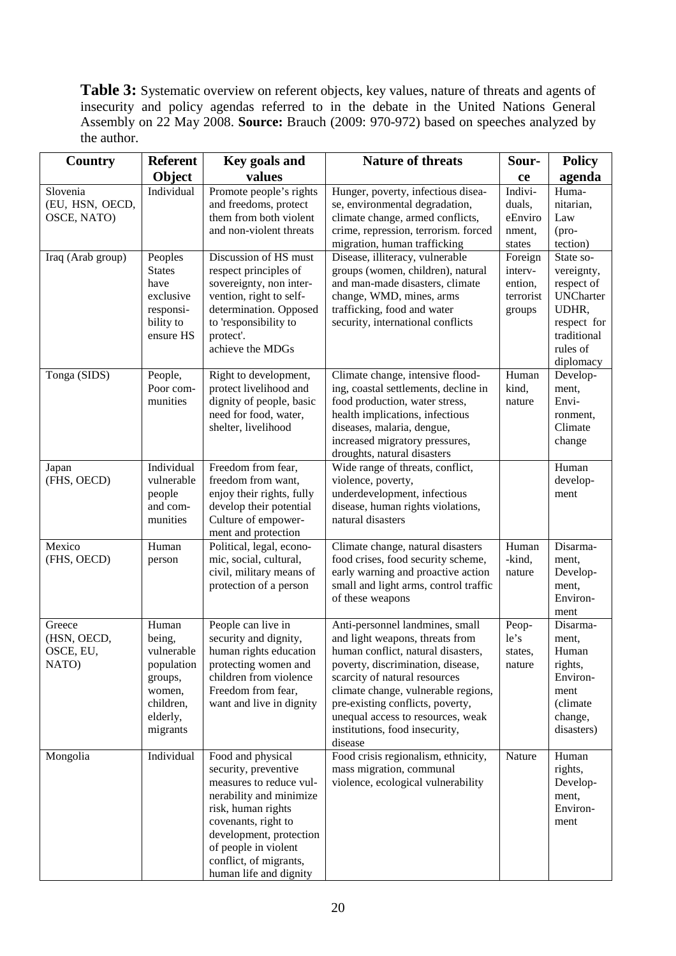Table 3: Systematic overview on referent objects, key values, nature of threats and agents of insecurity and policy agendas referred to in the debate in the United Nations General Assembly on 22 May 2008. **Source:** Brauch (2009: 970-972) based on speeches analyzed by the author.

| Country                                     | <b>Referent</b>                                                                                       | Key goals and                                                                                                                                                                                                                                       | <b>Nature of threats</b>                                                                                                                                                                                                                                                                                                                    | Sour-                                                | <b>Policy</b>                                                                                                             |
|---------------------------------------------|-------------------------------------------------------------------------------------------------------|-----------------------------------------------------------------------------------------------------------------------------------------------------------------------------------------------------------------------------------------------------|---------------------------------------------------------------------------------------------------------------------------------------------------------------------------------------------------------------------------------------------------------------------------------------------------------------------------------------------|------------------------------------------------------|---------------------------------------------------------------------------------------------------------------------------|
|                                             | Object                                                                                                | values                                                                                                                                                                                                                                              |                                                                                                                                                                                                                                                                                                                                             | ce                                                   | agenda                                                                                                                    |
| Slovenia<br>(EU, HSN, OECD,<br>OSCE, NATO)  | Individual                                                                                            | Promote people's rights<br>and freedoms, protect<br>them from both violent<br>and non-violent threats                                                                                                                                               | Hunger, poverty, infectious disea-<br>se, environmental degradation,<br>climate change, armed conflicts,<br>crime, repression, terrorism. forced<br>migration, human trafficking                                                                                                                                                            | Indivi-<br>duals,<br>eEnviro<br>nment,<br>states     | Huma-<br>nitarian,<br>Law<br>$(\text{pro-}$<br>tection)                                                                   |
| Iraq (Arab group)                           | Peoples<br><b>States</b><br>have<br>exclusive<br>responsi-<br>bility to<br>ensure HS                  | Discussion of HS must<br>respect principles of<br>sovereignty, non inter-<br>vention, right to self-<br>determination. Opposed<br>to 'responsibility to<br>protect'.<br>achieve the MDGs                                                            | Disease, illiteracy, vulnerable<br>groups (women, children), natural<br>and man-made disasters, climate<br>change, WMD, mines, arms<br>trafficking, food and water<br>security, international conflicts                                                                                                                                     | Foreign<br>interv-<br>ention,<br>terrorist<br>groups | State so-<br>vereignty,<br>respect of<br><b>UNCharter</b><br>UDHR,<br>respect for<br>traditional<br>rules of<br>diplomacy |
| Tonga (SIDS)                                | People,<br>Poor com-<br>munities                                                                      | Right to development,<br>protect livelihood and<br>dignity of people, basic<br>need for food, water,<br>shelter, livelihood                                                                                                                         | Climate change, intensive flood-<br>ing, coastal settlements, decline in<br>food production, water stress,<br>health implications, infectious<br>diseases, malaria, dengue,<br>increased migratory pressures,<br>droughts, natural disasters                                                                                                | Human<br>kind,<br>nature                             | Develop-<br>ment,<br>Envi-<br>ronment,<br>Climate<br>change                                                               |
| Japan<br>(FHS, OECD)                        | Individual<br>vulnerable<br>people<br>and com-<br>munities                                            | Freedom from fear,<br>freedom from want,<br>enjoy their rights, fully<br>develop their potential<br>Culture of empower-<br>ment and protection                                                                                                      | Wide range of threats, conflict,<br>violence, poverty,<br>underdevelopment, infectious<br>disease, human rights violations,<br>natural disasters                                                                                                                                                                                            |                                                      | Human<br>develop-<br>ment                                                                                                 |
| Mexico<br>(FHS, OECD)                       | Human<br>person                                                                                       | Political, legal, econo-<br>mic, social, cultural,<br>civil, military means of<br>protection of a person                                                                                                                                            | Climate change, natural disasters<br>food crises, food security scheme,<br>early warning and proactive action<br>small and light arms, control traffic<br>of these weapons                                                                                                                                                                  | Human<br>-kind,<br>nature                            | Disarma-<br>ment,<br>Develop-<br>ment,<br>Environ-<br>ment                                                                |
| Greece<br>(HSN, OECD,<br>OSCE, EU,<br>NATO) | Human<br>being,<br>vulnerable<br>population<br>groups,<br>women,<br>children,<br>elderly,<br>migrants | People can live in<br>security and dignity,<br>human rights education<br>protecting women and<br>children from violence<br>Freedom from fear,<br>want and live in dignity                                                                           | Anti-personnel landmines, small<br>and light weapons, threats from<br>human conflict, natural disasters,<br>poverty, discrimination, disease,<br>scarcity of natural resources<br>climate change, vulnerable regions,<br>pre-existing conflicts, poverty,<br>unequal access to resources, weak<br>institutions, food insecurity,<br>disease | Peop-<br>le's<br>states.<br>nature                   | Disarma-<br>ment,<br>Human<br>rights,<br>Environ-<br>ment<br>(climate<br>change,<br>disasters)                            |
| Mongolia                                    | Individual                                                                                            | Food and physical<br>security, preventive<br>measures to reduce vul-<br>nerability and minimize<br>risk, human rights<br>covenants, right to<br>development, protection<br>of people in violent<br>conflict, of migrants,<br>human life and dignity | Food crisis regionalism, ethnicity,<br>mass migration, communal<br>violence, ecological vulnerability                                                                                                                                                                                                                                       | Nature                                               | Human<br>rights,<br>Develop-<br>ment,<br>Environ-<br>ment                                                                 |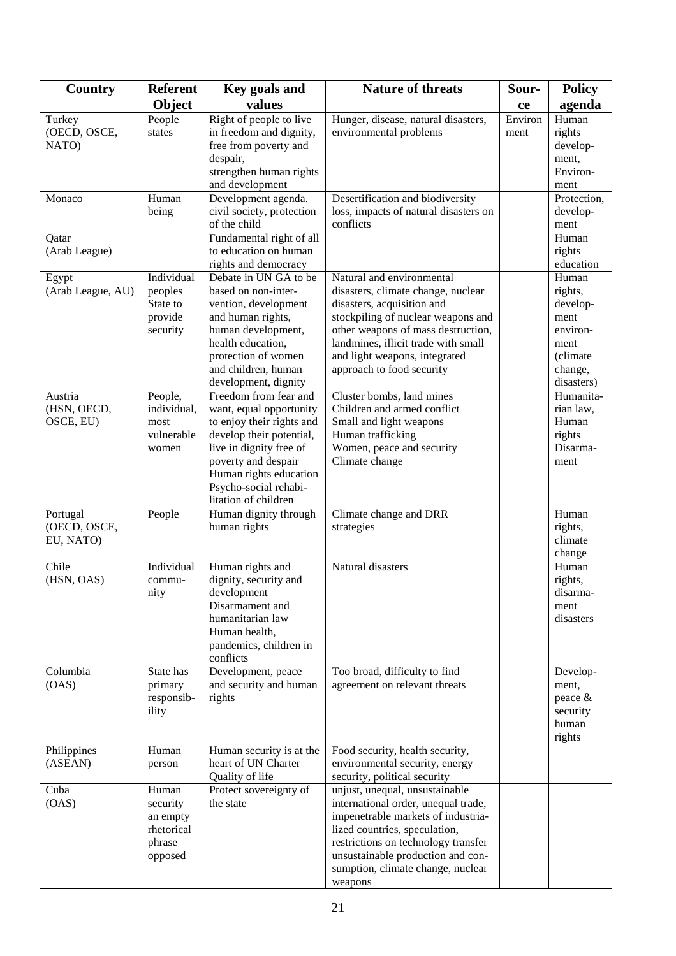| Country                | <b>Referent</b> | Key goals and                                   | <b>Nature of threats</b><br>Sour-                  |         | <b>Policy</b>    |
|------------------------|-----------------|-------------------------------------------------|----------------------------------------------------|---------|------------------|
|                        | <b>Object</b>   | values                                          |                                                    | ce      | agenda           |
| Turkey                 | People          | Right of people to live                         | Hunger, disease, natural disasters,                | Environ | Human            |
| (OECD, OSCE,           | states          | in freedom and dignity,                         | environmental problems                             | ment    | rights           |
| NATO)                  |                 | free from poverty and                           |                                                    |         | develop-         |
|                        |                 | despair,                                        |                                                    |         | ment,            |
|                        |                 | strengthen human rights                         |                                                    |         | Environ-         |
|                        |                 | and development                                 |                                                    |         | ment             |
| Monaco                 | Human           | Development agenda.                             | Desertification and biodiversity                   |         | Protection,      |
|                        | being           | civil society, protection<br>of the child       | loss, impacts of natural disasters on<br>conflicts |         | develop-<br>ment |
|                        |                 | Fundamental right of all                        |                                                    |         | Human            |
| Qatar<br>(Arab League) |                 | to education on human                           |                                                    |         | rights           |
|                        |                 | rights and democracy                            |                                                    |         | education        |
| Egypt                  | Individual      | Debate in UN GA to be                           | Natural and environmental                          |         | Human            |
| (Arab League, AU)      | peoples         | based on non-inter-                             | disasters, climate change, nuclear                 |         | rights,          |
|                        | State to        | vention, development                            | disasters, acquisition and                         |         | develop-         |
|                        | provide         | and human rights,                               | stockpiling of nuclear weapons and                 |         | ment             |
|                        | security        | human development,                              | other weapons of mass destruction,                 |         | environ-         |
|                        |                 | health education,                               | landmines, illicit trade with small                |         | ment             |
|                        |                 | protection of women                             | and light weapons, integrated                      |         | (climate         |
|                        |                 | and children, human                             | approach to food security                          |         | change,          |
|                        |                 | development, dignity                            |                                                    |         | disasters)       |
| Austria                | People,         | Freedom from fear and                           | Cluster bombs, land mines                          |         | Humanita-        |
| (HSN, OECD,            | individual,     | want, equal opportunity                         | Children and armed conflict                        |         | rian law,        |
| OSCE, EU)              | most            | to enjoy their rights and                       | Small and light weapons                            |         | Human            |
|                        | vulnerable      | develop their potential,                        | Human trafficking                                  |         | rights           |
|                        | women           | live in dignity free of                         | Women, peace and security                          |         | Disarma-         |
|                        |                 | poverty and despair                             | Climate change                                     |         | ment             |
|                        |                 | Human rights education<br>Psycho-social rehabi- |                                                    |         |                  |
|                        |                 | litation of children                            |                                                    |         |                  |
| Portugal               | People          | Human dignity through                           | Climate change and DRR                             |         | Human            |
| (OECD, OSCE,           |                 | human rights                                    | strategies                                         |         | rights,          |
| EU, NATO)              |                 |                                                 |                                                    |         | climate          |
|                        |                 |                                                 |                                                    |         | change           |
| Chile                  | Individual      | Human rights and                                | Natural disasters                                  |         | Human            |
| (HSN, OAS)             | commu-          | dignity, security and                           |                                                    |         | rights,          |
|                        | nity            | development                                     |                                                    |         | disarma-         |
|                        |                 | Disarmament and                                 |                                                    |         | ment             |
|                        |                 | humanitarian law                                |                                                    |         | disasters        |
|                        |                 | Human health,                                   |                                                    |         |                  |
|                        |                 | pandemics, children in                          |                                                    |         |                  |
|                        |                 | conflicts                                       |                                                    |         |                  |
| Columbia               | State has       | Development, peace                              | Too broad, difficulty to find                      |         | Develop-         |
| (OAS)                  | primary         | and security and human                          | agreement on relevant threats                      |         | ment,            |
|                        | responsib-      | rights                                          |                                                    |         | peace &          |
|                        | ility           |                                                 |                                                    |         | security         |
|                        |                 |                                                 |                                                    |         | human<br>rights  |
| Philippines            | Human           | Human security is at the                        | Food security, health security,                    |         |                  |
| (ASEAN)                | person          | heart of UN Charter                             | environmental security, energy                     |         |                  |
|                        |                 | Quality of life                                 | security, political security                       |         |                  |
| Cuba                   | Human           | Protect sovereignty of                          | unjust, unequal, unsustainable                     |         |                  |
| (OAS)                  | security        | the state                                       | international order, unequal trade,                |         |                  |
|                        | an empty        |                                                 | impenetrable markets of industria-                 |         |                  |
|                        | rhetorical      |                                                 | lized countries, speculation,                      |         |                  |
|                        | phrase          |                                                 | restrictions on technology transfer                |         |                  |
|                        | opposed         |                                                 | unsustainable production and con-                  |         |                  |
|                        |                 |                                                 | sumption, climate change, nuclear                  |         |                  |
|                        |                 |                                                 | weapons                                            |         |                  |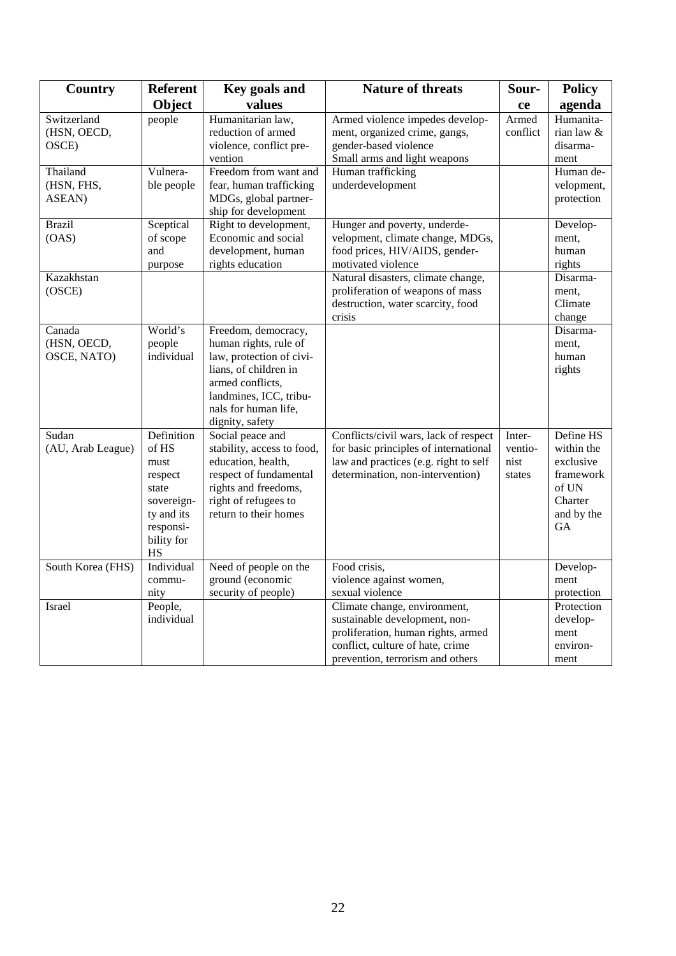| Country                              | <b>Referent</b>                                                                                              | Key goals and                                                                                                                                                                              | <b>Nature of threats</b>                                                                                                                                                    | Sour-                               | <b>Policy</b>                                                                                    |
|--------------------------------------|--------------------------------------------------------------------------------------------------------------|--------------------------------------------------------------------------------------------------------------------------------------------------------------------------------------------|-----------------------------------------------------------------------------------------------------------------------------------------------------------------------------|-------------------------------------|--------------------------------------------------------------------------------------------------|
|                                      | Object                                                                                                       | values                                                                                                                                                                                     |                                                                                                                                                                             | ce                                  | agenda                                                                                           |
| Switzerland<br>(HSN, OECD,<br>OSCE)  | people                                                                                                       | Humanitarian law,<br>reduction of armed<br>violence, conflict pre-<br>vention                                                                                                              | Armed violence impedes develop-<br>ment, organized crime, gangs,<br>gender-based violence<br>Small arms and light weapons                                                   | Armed<br>conflict                   | Humanita-<br>rian law $\&$<br>disarma-<br>ment                                                   |
| Thailand<br>(HSN, FHS,<br>ASEAN)     | Vulnera-<br>ble people                                                                                       | Freedom from want and<br>fear, human trafficking<br>MDGs, global partner-<br>ship for development                                                                                          | Human trafficking<br>underdevelopment                                                                                                                                       |                                     | Human de-<br>velopment,<br>protection                                                            |
| <b>Brazil</b><br>(OAS)               | Sceptical<br>of scope<br>and<br>purpose                                                                      | Right to development,<br>Economic and social<br>development, human<br>rights education                                                                                                     | Hunger and poverty, underde-<br>velopment, climate change, MDGs,<br>food prices, HIV/AIDS, gender-<br>motivated violence                                                    |                                     | Develop-<br>ment,<br>human<br>rights                                                             |
| Kazakhstan<br>(OSCE)                 |                                                                                                              |                                                                                                                                                                                            | Natural disasters, climate change,<br>proliferation of weapons of mass<br>destruction, water scarcity, food<br>crisis                                                       |                                     | Disarma-<br>ment,<br>Climate<br>change                                                           |
| Canada<br>(HSN, OECD,<br>OSCE, NATO) | World's<br>people<br>individual                                                                              | Freedom, democracy,<br>human rights, rule of<br>law, protection of civi-<br>lians, of children in<br>armed conflicts,<br>landmines, ICC, tribu-<br>nals for human life,<br>dignity, safety |                                                                                                                                                                             |                                     | Disarma-<br>ment,<br>human<br>rights                                                             |
| Sudan<br>(AU, Arab League)           | Definition<br>of HS<br>must<br>respect<br>state<br>sovereign-<br>ty and its<br>responsi-<br>bility for<br>HS | Social peace and<br>stability, access to food,<br>education, health,<br>respect of fundamental<br>rights and freedoms,<br>right of refugees to<br>return to their homes                    | Conflicts/civil wars, lack of respect<br>for basic principles of international<br>law and practices (e.g. right to self<br>determination, non-intervention)                 | Inter-<br>ventio-<br>nist<br>states | Define HS<br>within the<br>exclusive<br>framework<br>of UN<br>Charter<br>and by the<br><b>GA</b> |
| South Korea (FHS)                    | Individual<br>commu-<br>nity                                                                                 | Need of people on the<br>ground (economic<br>security of people)                                                                                                                           | Food crisis,<br>violence against women,<br>sexual violence                                                                                                                  |                                     | Develop-<br>ment<br>protection                                                                   |
| Israel                               | People,<br>individual                                                                                        |                                                                                                                                                                                            | Climate change, environment,<br>sustainable development, non-<br>proliferation, human rights, armed<br>conflict, culture of hate, crime<br>prevention, terrorism and others |                                     | Protection<br>develop-<br>ment<br>environ-<br>ment                                               |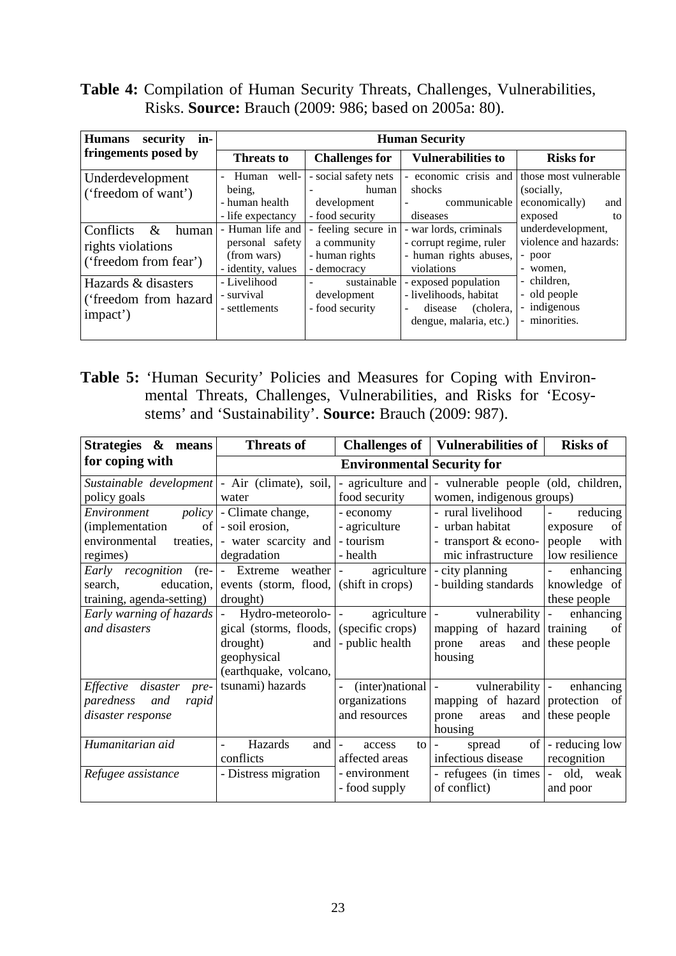**Table 4:** Compilation of Human Security Threats, Challenges, Vulnerabilities, Risks. **Source:** Brauch (2009: 986; based on 2005a: 80).

| in-<br><b>Humans</b><br>security                                         |                                                                                   |                                                                     | <b>Human Security</b>                                                                            |                                                                              |  |
|--------------------------------------------------------------------------|-----------------------------------------------------------------------------------|---------------------------------------------------------------------|--------------------------------------------------------------------------------------------------|------------------------------------------------------------------------------|--|
| fringements posed by                                                     | <b>Threats to</b>                                                                 | <b>Challenges for</b><br><b>Vulnerabilities to</b>                  |                                                                                                  | <b>Risks for</b>                                                             |  |
| Underdevelopment<br>('freedom of want')                                  | well-<br>Human<br>$\overline{a}$<br>being,<br>- human health<br>- life expectancy | - social safety nets<br>human<br>development<br>- food security     | - economic crisis and<br>shocks<br>communicable  <br>$\overline{\phantom{a}}$<br>diseases        | those most vulnerable<br>(socially,<br>economically)<br>and<br>exposed<br>to |  |
| Conflicts<br>$\&$<br>human<br>rights violations<br>('freedom from fear') | - Human life and<br>personal safety<br>(from wars)<br>- identity, values          | - feeling secure in<br>a community<br>- human rights<br>- democracy | - war lords, criminals<br>- corrupt regime, ruler<br>- human rights abuses,<br>violations        | underdevelopment,<br>violence and hazards:<br>- poor<br>- women,             |  |
| Hazards & disasters<br>('freedom from hazard<br>impact')                 | - Livelihood<br>- survival<br>- settlements                                       | sustainable<br>$\sim$<br>development<br>- food security             | - exposed population<br>- livelihoods, habitat<br>(cholera,<br>disease<br>dengue, malaria, etc.) | - children.<br>- old people<br>- indigenous<br>- minorities.                 |  |

**Table 5:** 'Human Security' Policies and Measures for Coping with Environmental Threats, Challenges, Vulnerabilities, and Risks for 'Ecosystems' and 'Sustainability'. **Source:** Brauch (2009: 987).

| <b>Threats of</b>                 | <b>Challenges of</b> |                                                                                                                                                                                                                                                   | <b>Risks of</b>                                                                                                                                                                                                                                                                                                                        |
|-----------------------------------|----------------------|---------------------------------------------------------------------------------------------------------------------------------------------------------------------------------------------------------------------------------------------------|----------------------------------------------------------------------------------------------------------------------------------------------------------------------------------------------------------------------------------------------------------------------------------------------------------------------------------------|
|                                   |                      |                                                                                                                                                                                                                                                   |                                                                                                                                                                                                                                                                                                                                        |
|                                   |                      |                                                                                                                                                                                                                                                   |                                                                                                                                                                                                                                                                                                                                        |
| water                             |                      |                                                                                                                                                                                                                                                   |                                                                                                                                                                                                                                                                                                                                        |
| <i>policy</i>   - Climate change, | - economy            | - rural livelihood                                                                                                                                                                                                                                | reducing<br>$\overline{\phantom{a}}$                                                                                                                                                                                                                                                                                                   |
| - soil erosion,                   | - agriculture        | - urban habitat                                                                                                                                                                                                                                   | of<br>exposure                                                                                                                                                                                                                                                                                                                         |
| treaties,                         | - tourism            | - transport & econo-                                                                                                                                                                                                                              | people<br>with                                                                                                                                                                                                                                                                                                                         |
| degradation                       | - health             | mic infrastructure                                                                                                                                                                                                                                | low resilience                                                                                                                                                                                                                                                                                                                         |
|                                   |                      | - city planning                                                                                                                                                                                                                                   | enhancing<br>$\omega_{\rm{max}}$                                                                                                                                                                                                                                                                                                       |
| education,                        | (shift in crops)     | - building standards                                                                                                                                                                                                                              | knowledge of                                                                                                                                                                                                                                                                                                                           |
| drought)                          |                      |                                                                                                                                                                                                                                                   | these people                                                                                                                                                                                                                                                                                                                           |
| $\blacksquare$                    |                      | $\omega_{\rm{max}}$ and $\omega_{\rm{max}}$                                                                                                                                                                                                       | enhancing<br>$\equiv$                                                                                                                                                                                                                                                                                                                  |
|                                   |                      |                                                                                                                                                                                                                                                   | of                                                                                                                                                                                                                                                                                                                                     |
| drought)                          | - public health      | prone<br>areas                                                                                                                                                                                                                                    | these people                                                                                                                                                                                                                                                                                                                           |
| geophysical                       |                      | housing                                                                                                                                                                                                                                           |                                                                                                                                                                                                                                                                                                                                        |
|                                   |                      |                                                                                                                                                                                                                                                   |                                                                                                                                                                                                                                                                                                                                        |
| tsunami) hazards                  | $\blacksquare$       |                                                                                                                                                                                                                                                   | enhancing                                                                                                                                                                                                                                                                                                                              |
|                                   | organizations        |                                                                                                                                                                                                                                                   |                                                                                                                                                                                                                                                                                                                                        |
|                                   | and resources        | prone<br>areas                                                                                                                                                                                                                                    | and these people                                                                                                                                                                                                                                                                                                                       |
|                                   |                      | housing                                                                                                                                                                                                                                           |                                                                                                                                                                                                                                                                                                                                        |
| Hazards                           | access               | spread<br>$\overline{\phantom{a}}$                                                                                                                                                                                                                | - reducing low                                                                                                                                                                                                                                                                                                                         |
| conflicts                         | affected areas       | infectious disease                                                                                                                                                                                                                                | recognition                                                                                                                                                                                                                                                                                                                            |
| - Distress migration              | - environment        | - refugees (in times                                                                                                                                                                                                                              | $-$ old,<br>weak                                                                                                                                                                                                                                                                                                                       |
|                                   | - food supply        | of conflict)                                                                                                                                                                                                                                      | and poor                                                                                                                                                                                                                                                                                                                               |
|                                   |                      | Sustainable development   - Air (climate), soil,  <br>food security<br>- water scarcity and<br>- Extreme weather -<br>events (storm, flood,<br>Hydro-meteorolo-<br>gical (storms, floods, (specific crops)<br>and<br>(earthquake, volcano,<br>and | Vulnerabilities of<br><b>Environmental Security for</b><br>- agriculture and  - vulnerable people (old, children,<br>women, indigenous groups)<br>agriculture<br>agriculture<br>vulnerability<br>mapping of hazard training<br>and<br>$(inter)$ national $\vert$ -<br>vulnerability -<br>mapping of hazard protection of<br>of<br>to l |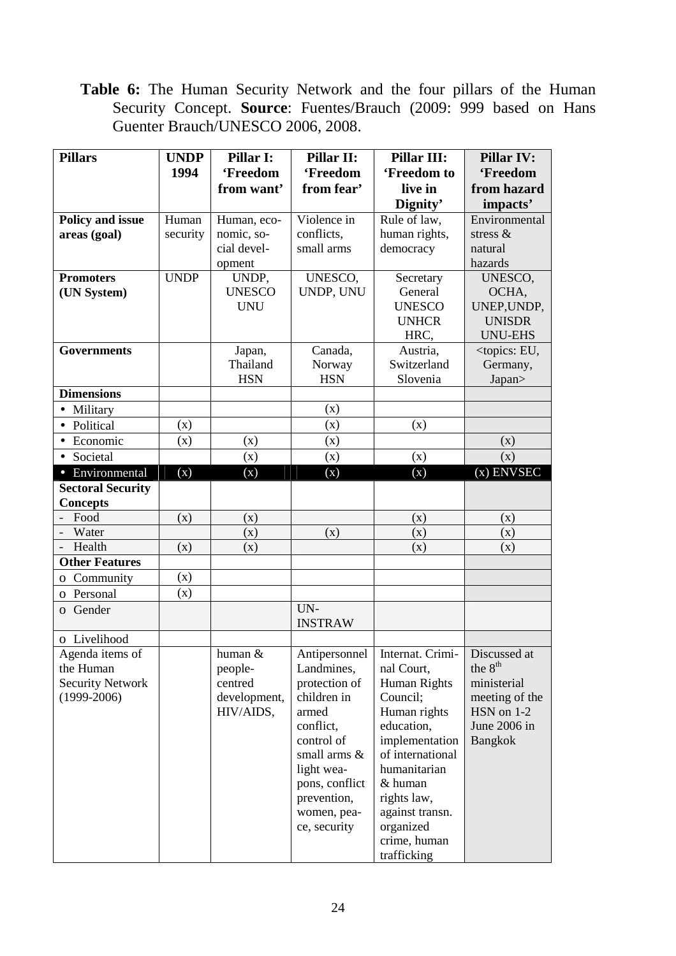Table 6: The Human Security Network and the four pillars of the Human Security Concept. **Source**: Fuentes/Brauch (2009: 999 based on Hans Guenter Brauch/UNESCO 2006, 2008.

| <b>Pillars</b>                    | <b>UNDP</b> | Pillar I:     | Pillar II:            | <b>Pillar III:</b>                              | <b>Pillar IV:</b>                 |
|-----------------------------------|-------------|---------------|-----------------------|-------------------------------------------------|-----------------------------------|
|                                   | 1994        | 'Freedom      | 'Freedom              | 'Freedom to                                     | 'Freedom                          |
|                                   |             | from want'    | from fear'            | live in                                         | from hazard                       |
|                                   |             |               |                       | Dignity'                                        | impacts'                          |
| Policy and issue                  | Human       | Human, eco-   | Violence in           | Rule of law,                                    | Environmental                     |
| areas (goal)                      | security    | nomic, so-    | conflicts,            | human rights,                                   | stress $\&$                       |
|                                   |             | cial devel-   | small arms            | democracy                                       | natural                           |
|                                   |             | opment        |                       |                                                 | hazards                           |
| <b>Promoters</b>                  | <b>UNDP</b> | UNDP,         | UNESCO,               | Secretary                                       | UNESCO,                           |
| (UN System)                       |             | <b>UNESCO</b> | UNDP, UNU             | General                                         | OCHA,                             |
|                                   |             | <b>UNU</b>    |                       | <b>UNESCO</b>                                   | UNEP, UNDP,                       |
|                                   |             |               |                       | <b>UNHCR</b>                                    | <b>UNISDR</b>                     |
|                                   |             |               |                       | HRC,                                            | <b>UNU-EHS</b>                    |
| <b>Governments</b>                |             | Japan,        | Canada,               | Austria,                                        | <topics: eu,<="" td=""></topics:> |
|                                   |             | Thailand      | Norway                | Switzerland                                     | Germany,                          |
|                                   |             | <b>HSN</b>    | <b>HSN</b>            | Slovenia                                        | Japan>                            |
| <b>Dimensions</b>                 |             |               |                       |                                                 |                                   |
| Military<br>$\bullet$             |             |               | (x)                   |                                                 |                                   |
| Political<br>$\bullet$            | (x)         |               | (x)                   | (x)                                             |                                   |
| Economic                          | (x)         | (x)           | (x)                   |                                                 | (x)                               |
| • Societal                        |             | (x)           | (x)                   | (x)                                             | (x)                               |
| • Environmental                   | (X)         | (X)           | (X)                   | (X)                                             | $(x)$ ENVSEC                      |
| <b>Sectoral Security</b>          |             |               |                       |                                                 |                                   |
| <b>Concepts</b>                   |             |               |                       |                                                 |                                   |
| Food                              | (x)         | (x)           |                       | (x)                                             | (x)                               |
| Water<br>$\overline{\phantom{a}}$ |             | (x)           | (x)                   | (x)                                             | (x)                               |
| Health                            | (x)         | (x)           |                       | (x)                                             | (x)                               |
| <b>Other Features</b>             |             |               |                       |                                                 |                                   |
| o Community                       | (x)         |               |                       |                                                 |                                   |
| o Personal                        | (x)         |               |                       |                                                 |                                   |
| Gender<br>$\Omega$                |             |               | UN-<br><b>INSTRAW</b> |                                                 |                                   |
| o Livelihood                      |             |               |                       |                                                 |                                   |
| Agenda items of                   |             | human &       |                       | Antipersonnel   Internat. Crimi-   Discussed at |                                   |
| the Human                         |             | people-       | Landmines,            | nal Court,                                      | the 8 <sup>th</sup>               |
| <b>Security Network</b>           |             | centred       | protection of         | Human Rights                                    | ministerial                       |
| $(1999-2006)$                     |             | development,  | children in           | Council;                                        | meeting of the                    |
|                                   |             | HIV/AIDS,     | armed                 | Human rights                                    | HSN on 1-2                        |
|                                   |             |               | conflict,             | education,                                      | June 2006 in                      |
|                                   |             |               | control of            | implementation                                  | Bangkok                           |
|                                   |             |               | small arms &          | of international                                |                                   |
|                                   |             |               | light wea-            | humanitarian                                    |                                   |
|                                   |             |               | pons, conflict        | & human                                         |                                   |
|                                   |             |               | prevention,           | rights law,                                     |                                   |
|                                   |             |               | women, pea-           | against transn.                                 |                                   |
|                                   |             |               | ce, security          | organized                                       |                                   |
|                                   |             |               |                       | crime, human                                    |                                   |
|                                   |             |               |                       | trafficking                                     |                                   |